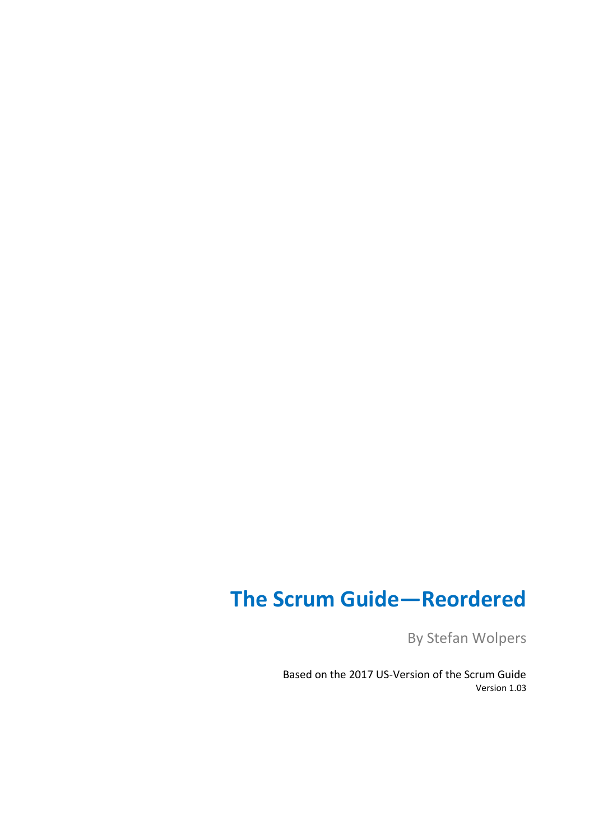# **The Scrum Guide—Reordered**

By Stefan Wolpers

Based on the 2017 US-Version of the Scrum Guide Version 1.03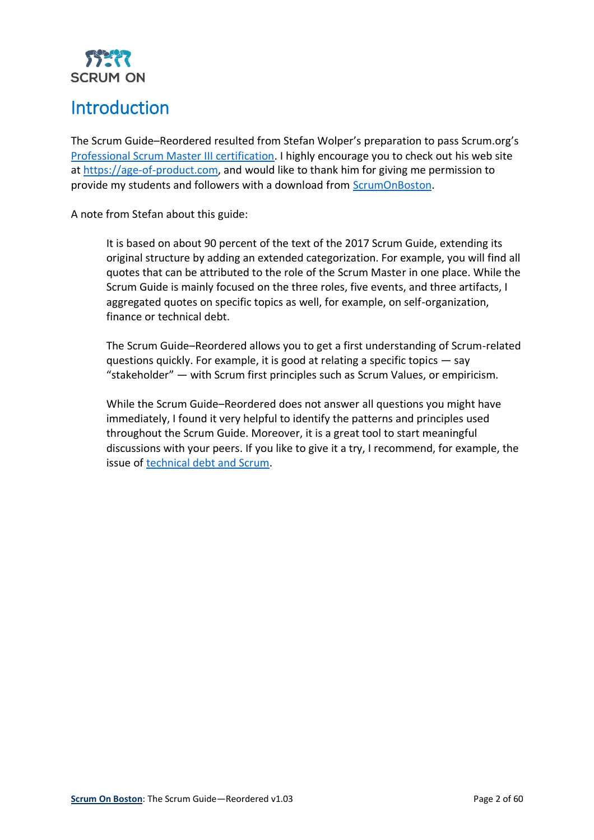

# <span id="page-1-0"></span>Introduction

The Scrum Guide–Reordered resulted from Stefan Wolper's preparation to pass Scrum.org's [Professional Scrum Master III certification.](https://www.scrum.org/index.php/professional-scrum-master-iii-certification) I highly encourage you to check out his web site at [https://age-of-product.com,](https://age-of-product.com/) and would like to thank him for giving me permission to provide my students and followers with a download from [ScrumOnBoston.](http://www.scrumonboston.com/)

A note from Stefan about this guide:

It is based on about 90 percent of the text of the 2017 Scrum Guide, extending its original structure by adding an extended categorization. For example, you will find all quotes that can be attributed to the role of the Scrum Master in one place. While the Scrum Guide is mainly focused on the three roles, five events, and three artifacts, I aggregated quotes on specific topics as well, for example, on self-organization, finance or technical debt.

The Scrum Guide–Reordered allows you to get a first understanding of Scrum-related questions quickly. For example, it is good at relating a specific topics — say "stakeholder" — with Scrum first principles such as Scrum Values, or empiricism.

While the Scrum Guide–Reordered does not answer all questions you might have immediately, I found it very helpful to identify the patterns and principles used throughout the Scrum Guide. Moreover, it is a great tool to start meaningful discussions with your peers. If you like to give it a try, I recommend, for example, the issue of [technical debt and Scrum.](https://age-of-product.com/technical-debt-scrum/)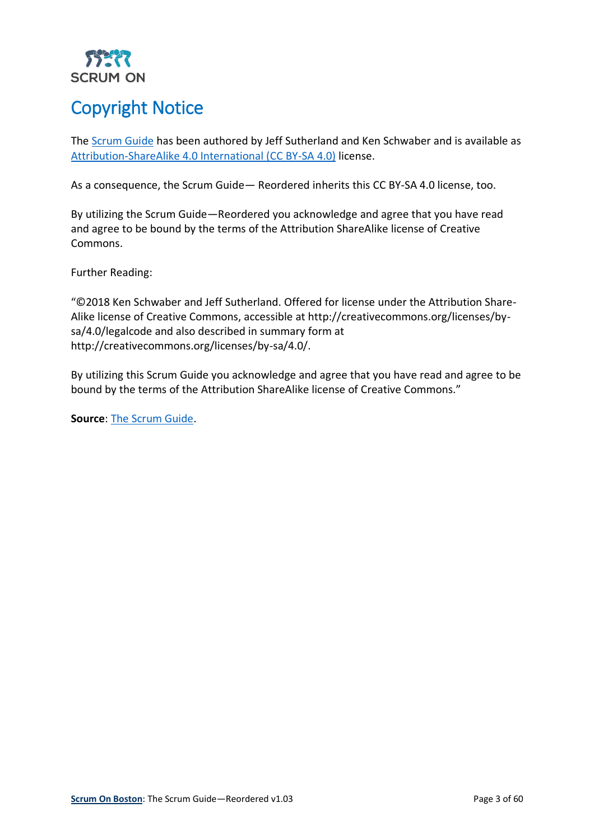

# <span id="page-2-0"></span>Copyright Notice

The **Scrum Guide** has been authored by Jeff Sutherland and Ken Schwaber and is available as [Attribution-ShareAlike 4.0 International \(CC BY-SA 4.0\)](https://creativecommons.org/licenses/by-sa/4.0/) license.

As a consequence, the Scrum Guide— Reordered inherits this CC BY-SA 4.0 license, too.

By utilizing the Scrum Guide—Reordered you acknowledge and agree that you have read and agree to be bound by the terms of the Attribution ShareAlike license of Creative Commons.

Further Reading:

"©2018 Ken Schwaber and Jeff Sutherland. Offered for license under the Attribution Share-Alike license of Creative Commons, accessible at http://creativecommons.org/licenses/bysa/4.0/legalcode and also described in summary form at http://creativecommons.org/licenses/by-sa/4.0/.

By utilizing this Scrum Guide you acknowledge and agree that you have read and agree to be bound by the terms of the Attribution ShareAlike license of Creative Commons."

**Source**[: The Scrum Guide.](https://www.scrumguides.org/scrum-guide.html#acknowledgements-history)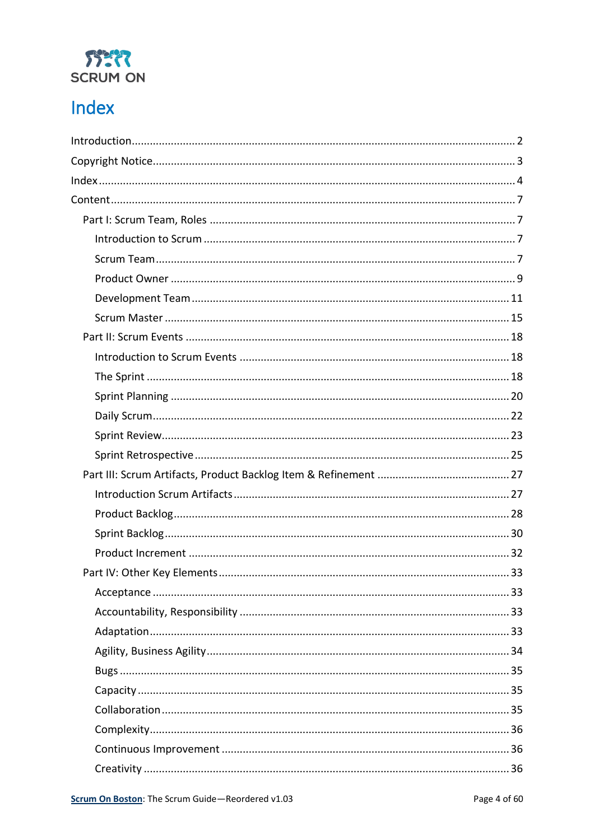

# <span id="page-3-0"></span>Index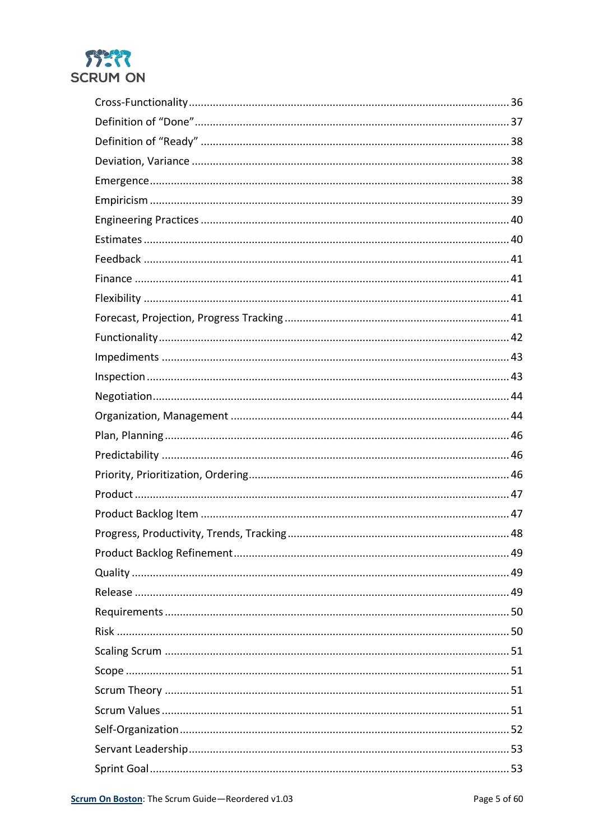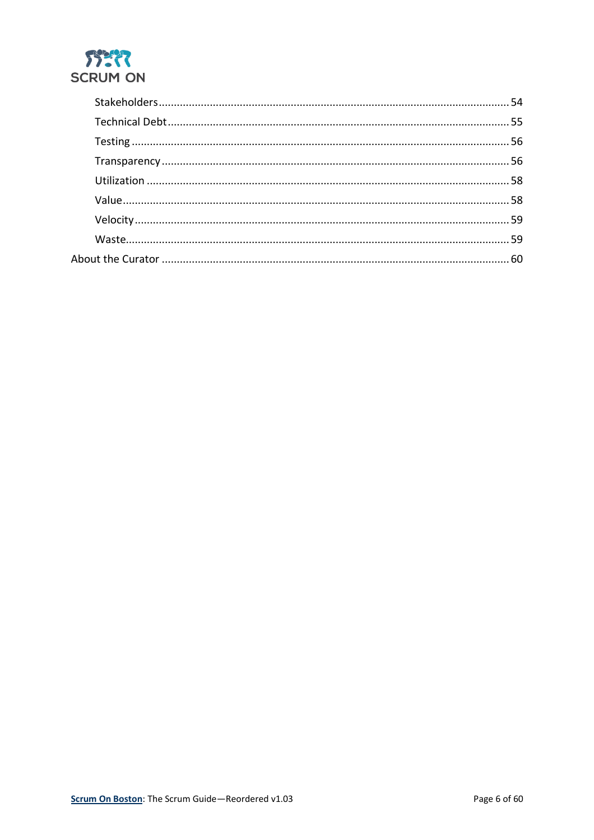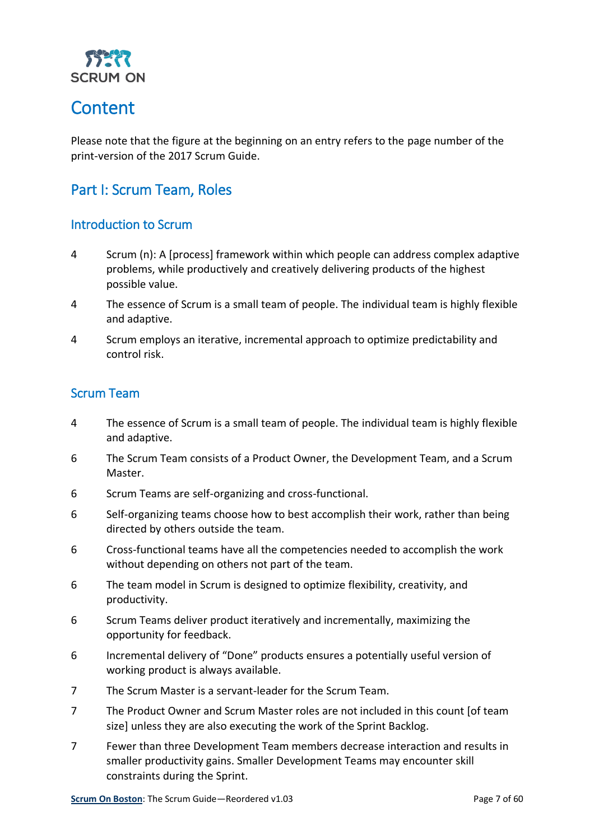

## <span id="page-6-0"></span>**Content**

Please note that the figure at the beginning on an entry refers to the page number of the print-version of the 2017 Scrum Guide.

## <span id="page-6-1"></span>Part I: Scrum Team, Roles

#### <span id="page-6-2"></span>Introduction to Scrum

- 4 Scrum (n): A [process] framework within which people can address complex adaptive problems, while productively and creatively delivering products of the highest possible value.
- 4 The essence of Scrum is a small team of people. The individual team is highly flexible and adaptive.
- 4 Scrum employs an iterative, incremental approach to optimize predictability and control risk.

#### <span id="page-6-3"></span>Scrum Team

- 4 The essence of Scrum is a small team of people. The individual team is highly flexible and adaptive.
- 6 The Scrum Team consists of a Product Owner, the Development Team, and a Scrum Master.
- 6 Scrum Teams are self-organizing and cross-functional.
- 6 Self-organizing teams choose how to best accomplish their work, rather than being directed by others outside the team.
- 6 Cross-functional teams have all the competencies needed to accomplish the work without depending on others not part of the team.
- 6 The team model in Scrum is designed to optimize flexibility, creativity, and productivity.
- 6 Scrum Teams deliver product iteratively and incrementally, maximizing the opportunity for feedback.
- 6 Incremental delivery of "Done" products ensures a potentially useful version of working product is always available.
- 7 The Scrum Master is a servant-leader for the Scrum Team.
- 7 The Product Owner and Scrum Master roles are not included in this count [of team size] unless they are also executing the work of the Sprint Backlog.
- 7 Fewer than three Development Team members decrease interaction and results in smaller productivity gains. Smaller Development Teams may encounter skill constraints during the Sprint.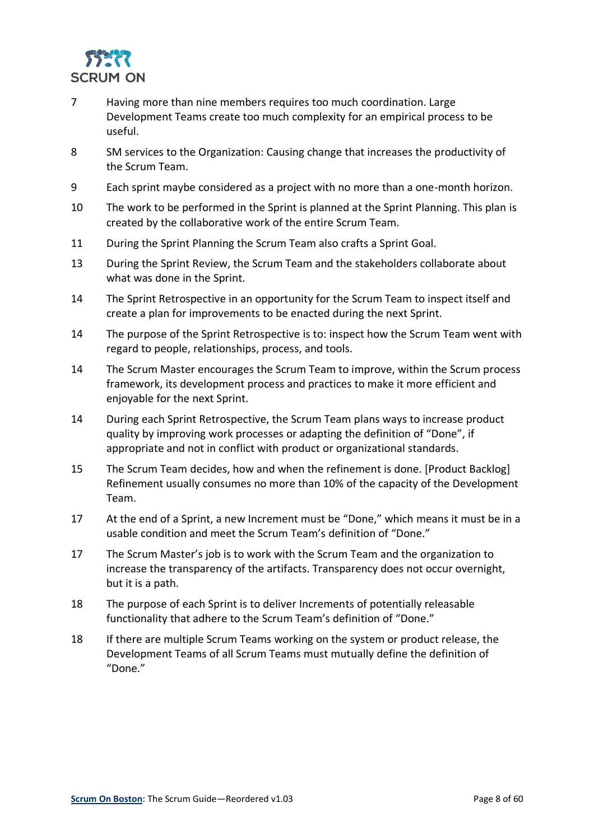

- 7 Having more than nine members requires too much coordination. Large Development Teams create too much complexity for an empirical process to be useful.
- 8 SM services to the Organization: Causing change that increases the productivity of the Scrum Team.
- 9 Each sprint maybe considered as a project with no more than a one-month horizon.
- 10 The work to be performed in the Sprint is planned at the Sprint Planning. This plan is created by the collaborative work of the entire Scrum Team.
- 11 During the Sprint Planning the Scrum Team also crafts a Sprint Goal.
- 13 During the Sprint Review, the Scrum Team and the stakeholders collaborate about what was done in the Sprint.
- 14 The Sprint Retrospective in an opportunity for the Scrum Team to inspect itself and create a plan for improvements to be enacted during the next Sprint.
- 14 The purpose of the Sprint Retrospective is to: inspect how the Scrum Team went with regard to people, relationships, process, and tools.
- 14 The Scrum Master encourages the Scrum Team to improve, within the Scrum process framework, its development process and practices to make it more efficient and enjoyable for the next Sprint.
- 14 During each Sprint Retrospective, the Scrum Team plans ways to increase product quality by improving work processes or adapting the definition of "Done", if appropriate and not in conflict with product or organizational standards.
- 15 The Scrum Team decides, how and when the refinement is done. [Product Backlog] Refinement usually consumes no more than 10% of the capacity of the Development Team.
- 17 At the end of a Sprint, a new Increment must be "Done," which means it must be in a usable condition and meet the Scrum Team's definition of "Done."
- 17 The Scrum Master's job is to work with the Scrum Team and the organization to increase the transparency of the artifacts. Transparency does not occur overnight, but it is a path.
- 18 The purpose of each Sprint is to deliver Increments of potentially releasable functionality that adhere to the Scrum Team's definition of "Done."
- 18 If there are multiple Scrum Teams working on the system or product release, the Development Teams of all Scrum Teams must mutually define the definition of "Done."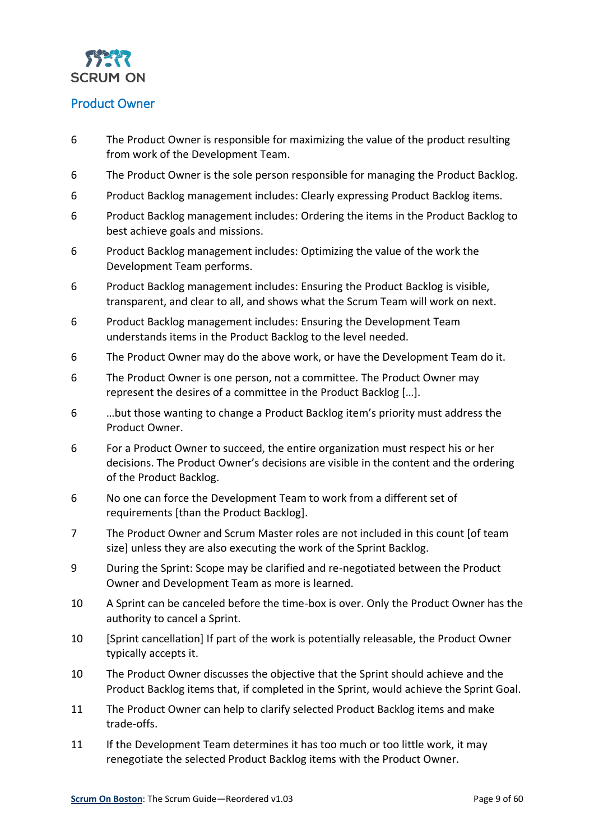

#### <span id="page-8-0"></span>Product Owner

- 6 The Product Owner is responsible for maximizing the value of the product resulting from work of the Development Team.
- 6 The Product Owner is the sole person responsible for managing the Product Backlog.
- 6 Product Backlog management includes: Clearly expressing Product Backlog items.
- 6 Product Backlog management includes: Ordering the items in the Product Backlog to best achieve goals and missions.
- 6 Product Backlog management includes: Optimizing the value of the work the Development Team performs.
- 6 Product Backlog management includes: Ensuring the Product Backlog is visible, transparent, and clear to all, and shows what the Scrum Team will work on next.
- 6 Product Backlog management includes: Ensuring the Development Team understands items in the Product Backlog to the level needed.
- 6 The Product Owner may do the above work, or have the Development Team do it.
- 6 The Product Owner is one person, not a committee. The Product Owner may represent the desires of a committee in the Product Backlog […].
- 6 …but those wanting to change a Product Backlog item's priority must address the Product Owner.
- 6 For a Product Owner to succeed, the entire organization must respect his or her decisions. The Product Owner's decisions are visible in the content and the ordering of the Product Backlog.
- 6 No one can force the Development Team to work from a different set of requirements [than the Product Backlog].
- 7 The Product Owner and Scrum Master roles are not included in this count [of team size] unless they are also executing the work of the Sprint Backlog.
- 9 During the Sprint: Scope may be clarified and re-negotiated between the Product Owner and Development Team as more is learned.
- 10 A Sprint can be canceled before the time-box is over. Only the Product Owner has the authority to cancel a Sprint.
- 10 [Sprint cancellation] If part of the work is potentially releasable, the Product Owner typically accepts it.
- 10 The Product Owner discusses the objective that the Sprint should achieve and the Product Backlog items that, if completed in the Sprint, would achieve the Sprint Goal.
- 11 The Product Owner can help to clarify selected Product Backlog items and make trade-offs.
- 11 If the Development Team determines it has too much or too little work, it may renegotiate the selected Product Backlog items with the Product Owner.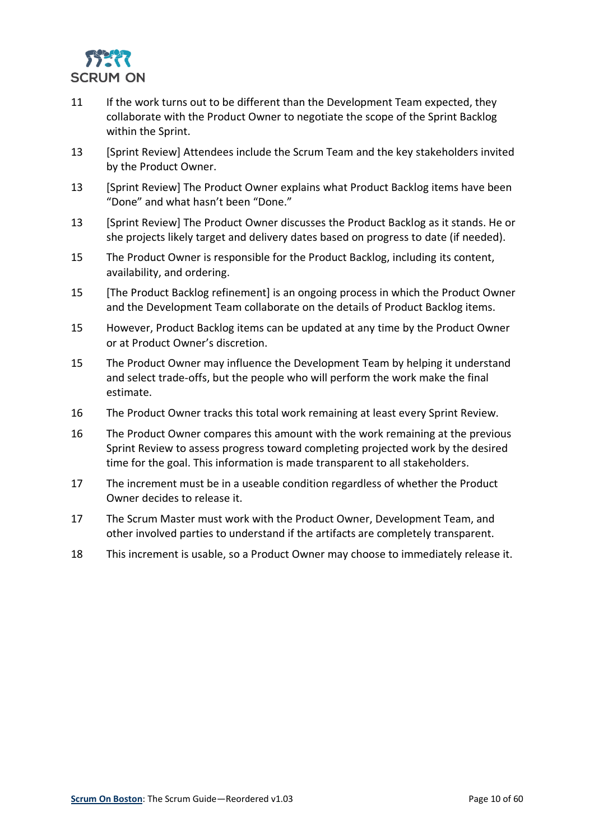

- 11 If the work turns out to be different than the Development Team expected, they collaborate with the Product Owner to negotiate the scope of the Sprint Backlog within the Sprint.
- 13 [Sprint Review] Attendees include the Scrum Team and the key stakeholders invited by the Product Owner.
- 13 [Sprint Review] The Product Owner explains what Product Backlog items have been "Done" and what hasn't been "Done."
- 13 [Sprint Review] The Product Owner discusses the Product Backlog as it stands. He or she projects likely target and delivery dates based on progress to date (if needed).
- 15 The Product Owner is responsible for the Product Backlog, including its content, availability, and ordering.
- 15 [The Product Backlog refinement] is an ongoing process in which the Product Owner and the Development Team collaborate on the details of Product Backlog items.
- 15 However, Product Backlog items can be updated at any time by the Product Owner or at Product Owner's discretion.
- 15 The Product Owner may influence the Development Team by helping it understand and select trade-offs, but the people who will perform the work make the final estimate.
- 16 The Product Owner tracks this total work remaining at least every Sprint Review.
- 16 The Product Owner compares this amount with the work remaining at the previous Sprint Review to assess progress toward completing projected work by the desired time for the goal. This information is made transparent to all stakeholders.
- 17 The increment must be in a useable condition regardless of whether the Product Owner decides to release it.
- 17 The Scrum Master must work with the Product Owner, Development Team, and other involved parties to understand if the artifacts are completely transparent.
- 18 This increment is usable, so a Product Owner may choose to immediately release it.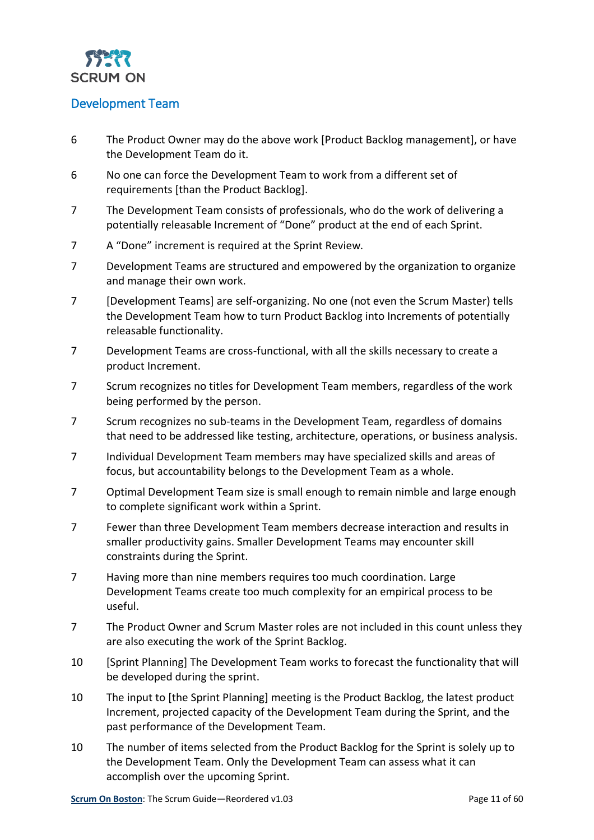

#### <span id="page-10-0"></span>Development Team

- 6 The Product Owner may do the above work [Product Backlog management], or have the Development Team do it.
- 6 No one can force the Development Team to work from a different set of requirements [than the Product Backlog].
- 7 The Development Team consists of professionals, who do the work of delivering a potentially releasable Increment of "Done" product at the end of each Sprint.
- 7 A "Done" increment is required at the Sprint Review.
- 7 Development Teams are structured and empowered by the organization to organize and manage their own work.
- 7 [Development Teams] are self-organizing. No one (not even the Scrum Master) tells the Development Team how to turn Product Backlog into Increments of potentially releasable functionality.
- 7 Development Teams are cross-functional, with all the skills necessary to create a product Increment.
- 7 Scrum recognizes no titles for Development Team members, regardless of the work being performed by the person.
- 7 Scrum recognizes no sub-teams in the Development Team, regardless of domains that need to be addressed like testing, architecture, operations, or business analysis.
- 7 Individual Development Team members may have specialized skills and areas of focus, but accountability belongs to the Development Team as a whole.
- 7 Optimal Development Team size is small enough to remain nimble and large enough to complete significant work within a Sprint.
- 7 Fewer than three Development Team members decrease interaction and results in smaller productivity gains. Smaller Development Teams may encounter skill constraints during the Sprint.
- 7 Having more than nine members requires too much coordination. Large Development Teams create too much complexity for an empirical process to be useful.
- 7 The Product Owner and Scrum Master roles are not included in this count unless they are also executing the work of the Sprint Backlog.
- 10 [Sprint Planning] The Development Team works to forecast the functionality that will be developed during the sprint.
- 10 The input to [the Sprint Planning] meeting is the Product Backlog, the latest product Increment, projected capacity of the Development Team during the Sprint, and the past performance of the Development Team.
- 10 The number of items selected from the Product Backlog for the Sprint is solely up to the Development Team. Only the Development Team can assess what it can accomplish over the upcoming Sprint.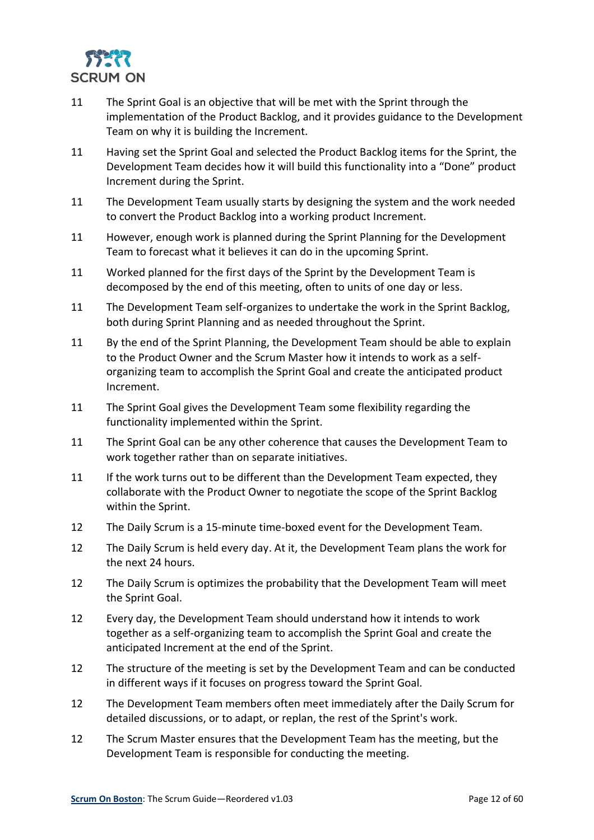

- 11 The Sprint Goal is an objective that will be met with the Sprint through the implementation of the Product Backlog, and it provides guidance to the Development Team on why it is building the Increment.
- 11 Having set the Sprint Goal and selected the Product Backlog items for the Sprint, the Development Team decides how it will build this functionality into a "Done" product Increment during the Sprint.
- 11 The Development Team usually starts by designing the system and the work needed to convert the Product Backlog into a working product Increment.
- 11 However, enough work is planned during the Sprint Planning for the Development Team to forecast what it believes it can do in the upcoming Sprint.
- 11 Worked planned for the first days of the Sprint by the Development Team is decomposed by the end of this meeting, often to units of one day or less.
- 11 The Development Team self-organizes to undertake the work in the Sprint Backlog, both during Sprint Planning and as needed throughout the Sprint.
- 11 By the end of the Sprint Planning, the Development Team should be able to explain to the Product Owner and the Scrum Master how it intends to work as a selforganizing team to accomplish the Sprint Goal and create the anticipated product Increment.
- 11 The Sprint Goal gives the Development Team some flexibility regarding the functionality implemented within the Sprint.
- 11 The Sprint Goal can be any other coherence that causes the Development Team to work together rather than on separate initiatives.
- 11 If the work turns out to be different than the Development Team expected, they collaborate with the Product Owner to negotiate the scope of the Sprint Backlog within the Sprint.
- 12 The Daily Scrum is a 15-minute time-boxed event for the Development Team.
- 12 The Daily Scrum is held every day. At it, the Development Team plans the work for the next 24 hours.
- 12 The Daily Scrum is optimizes the probability that the Development Team will meet the Sprint Goal.
- 12 Every day, the Development Team should understand how it intends to work together as a self-organizing team to accomplish the Sprint Goal and create the anticipated Increment at the end of the Sprint.
- 12 The structure of the meeting is set by the Development Team and can be conducted in different ways if it focuses on progress toward the Sprint Goal.
- 12 The Development Team members often meet immediately after the Daily Scrum for detailed discussions, or to adapt, or replan, the rest of the Sprint's work.
- 12 The Scrum Master ensures that the Development Team has the meeting, but the Development Team is responsible for conducting the meeting.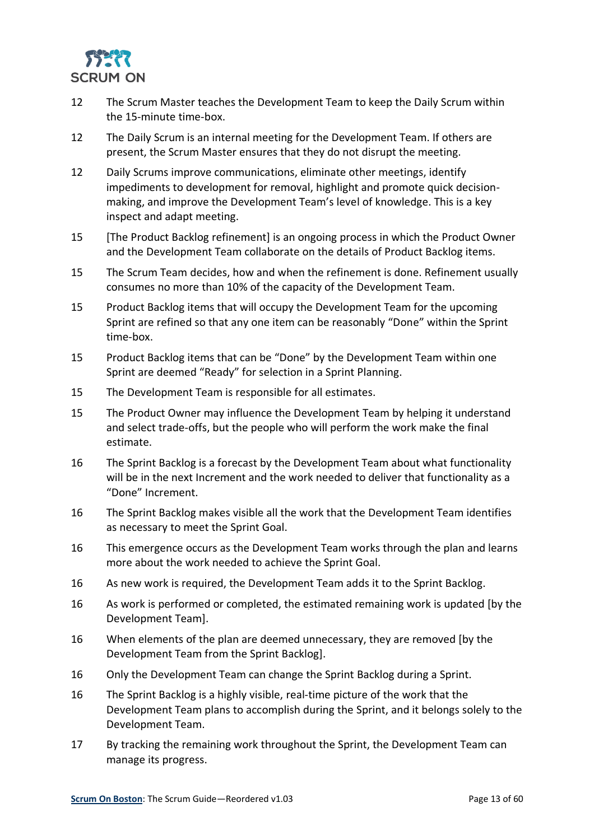

- 12 The Scrum Master teaches the Development Team to keep the Daily Scrum within the 15-minute time-box.
- 12 The Daily Scrum is an internal meeting for the Development Team. If others are present, the Scrum Master ensures that they do not disrupt the meeting.
- 12 Daily Scrums improve communications, eliminate other meetings, identify impediments to development for removal, highlight and promote quick decisionmaking, and improve the Development Team's level of knowledge. This is a key inspect and adapt meeting.
- 15 [The Product Backlog refinement] is an ongoing process in which the Product Owner and the Development Team collaborate on the details of Product Backlog items.
- 15 The Scrum Team decides, how and when the refinement is done. Refinement usually consumes no more than 10% of the capacity of the Development Team.
- 15 Product Backlog items that will occupy the Development Team for the upcoming Sprint are refined so that any one item can be reasonably "Done" within the Sprint time-box.
- 15 Product Backlog items that can be "Done" by the Development Team within one Sprint are deemed "Ready" for selection in a Sprint Planning.
- 15 The Development Team is responsible for all estimates.
- 15 The Product Owner may influence the Development Team by helping it understand and select trade-offs, but the people who will perform the work make the final estimate.
- 16 The Sprint Backlog is a forecast by the Development Team about what functionality will be in the next Increment and the work needed to deliver that functionality as a "Done" Increment.
- 16 The Sprint Backlog makes visible all the work that the Development Team identifies as necessary to meet the Sprint Goal.
- 16 This emergence occurs as the Development Team works through the plan and learns more about the work needed to achieve the Sprint Goal.
- 16 As new work is required, the Development Team adds it to the Sprint Backlog.
- 16 As work is performed or completed, the estimated remaining work is updated [by the Development Team].
- 16 When elements of the plan are deemed unnecessary, they are removed [by the Development Team from the Sprint Backlog].
- 16 Only the Development Team can change the Sprint Backlog during a Sprint.
- 16 The Sprint Backlog is a highly visible, real-time picture of the work that the Development Team plans to accomplish during the Sprint, and it belongs solely to the Development Team.
- 17 By tracking the remaining work throughout the Sprint, the Development Team can manage its progress.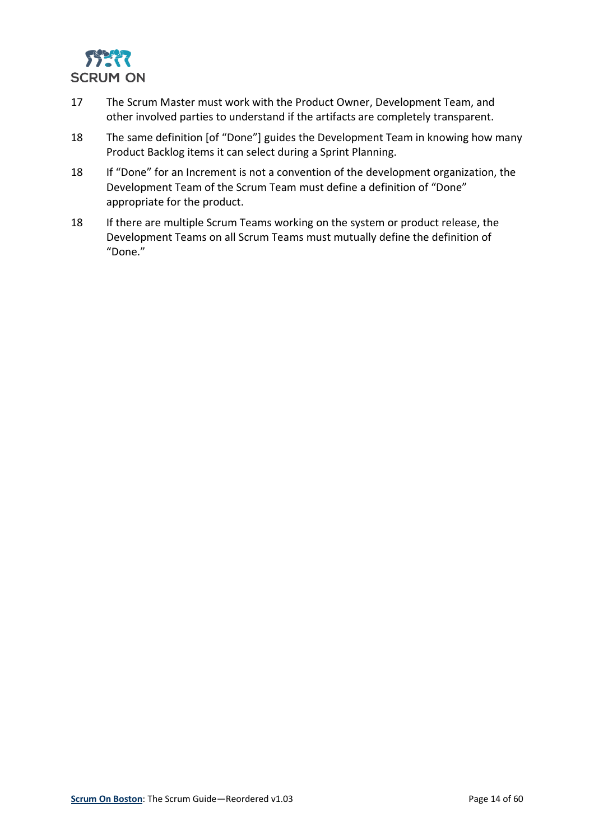

- 17 The Scrum Master must work with the Product Owner, Development Team, and other involved parties to understand if the artifacts are completely transparent.
- 18 The same definition [of "Done"] guides the Development Team in knowing how many Product Backlog items it can select during a Sprint Planning.
- 18 If "Done" for an Increment is not a convention of the development organization, the Development Team of the Scrum Team must define a definition of "Done" appropriate for the product.
- 18 If there are multiple Scrum Teams working on the system or product release, the Development Teams on all Scrum Teams must mutually define the definition of "Done."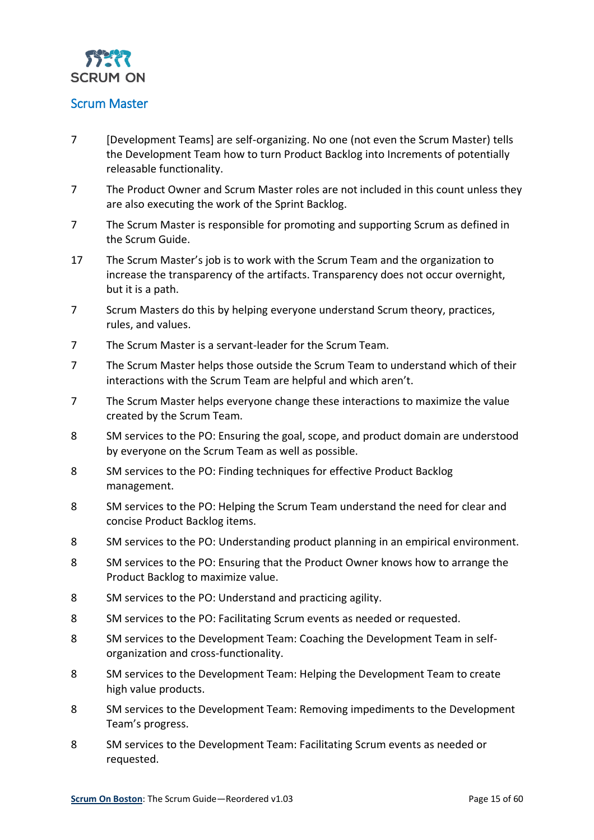

#### <span id="page-14-0"></span>Scrum Master

- 7 [Development Teams] are self-organizing. No one (not even the Scrum Master) tells the Development Team how to turn Product Backlog into Increments of potentially releasable functionality.
- 7 The Product Owner and Scrum Master roles are not included in this count unless they are also executing the work of the Sprint Backlog.
- 7 The Scrum Master is responsible for promoting and supporting Scrum as defined in the Scrum Guide.
- 17 The Scrum Master's job is to work with the Scrum Team and the organization to increase the transparency of the artifacts. Transparency does not occur overnight, but it is a path.
- 7 Scrum Masters do this by helping everyone understand Scrum theory, practices, rules, and values.
- 7 The Scrum Master is a servant-leader for the Scrum Team.
- 7 The Scrum Master helps those outside the Scrum Team to understand which of their interactions with the Scrum Team are helpful and which aren't.
- 7 The Scrum Master helps everyone change these interactions to maximize the value created by the Scrum Team.
- 8 SM services to the PO: Ensuring the goal, scope, and product domain are understood by everyone on the Scrum Team as well as possible.
- 8 SM services to the PO: Finding techniques for effective Product Backlog management.
- 8 SM services to the PO: Helping the Scrum Team understand the need for clear and concise Product Backlog items.
- 8 SM services to the PO: Understanding product planning in an empirical environment.
- 8 SM services to the PO: Ensuring that the Product Owner knows how to arrange the Product Backlog to maximize value.
- 8 SM services to the PO: Understand and practicing agility.
- 8 SM services to the PO: Facilitating Scrum events as needed or requested.
- 8 SM services to the Development Team: Coaching the Development Team in selforganization and cross-functionality.
- 8 SM services to the Development Team: Helping the Development Team to create high value products.
- 8 SM services to the Development Team: Removing impediments to the Development Team's progress.
- 8 SM services to the Development Team: Facilitating Scrum events as needed or requested.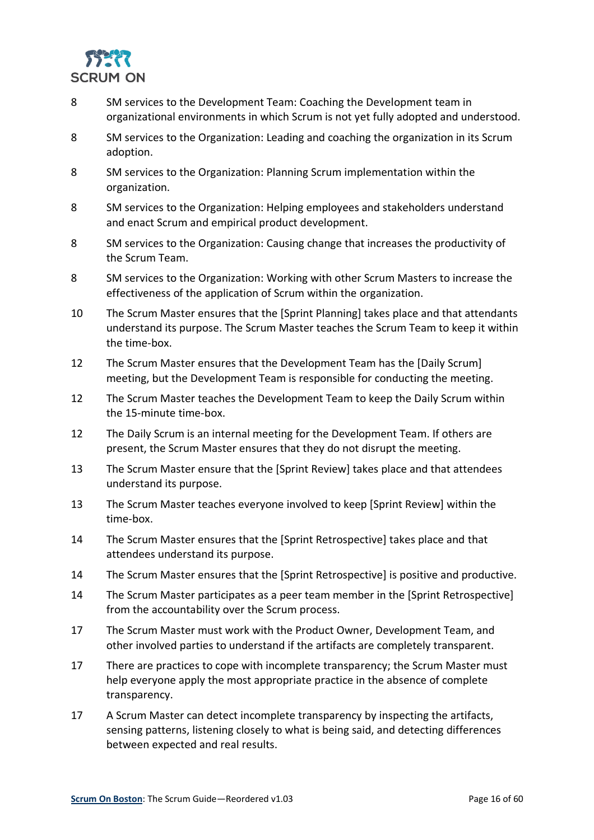

- 8 SM services to the Development Team: Coaching the Development team in organizational environments in which Scrum is not yet fully adopted and understood.
- 8 SM services to the Organization: Leading and coaching the organization in its Scrum adoption.
- 8 SM services to the Organization: Planning Scrum implementation within the organization.
- 8 SM services to the Organization: Helping employees and stakeholders understand and enact Scrum and empirical product development.
- 8 SM services to the Organization: Causing change that increases the productivity of the Scrum Team.
- 8 SM services to the Organization: Working with other Scrum Masters to increase the effectiveness of the application of Scrum within the organization.
- 10 The Scrum Master ensures that the [Sprint Planning] takes place and that attendants understand its purpose. The Scrum Master teaches the Scrum Team to keep it within the time-box.
- 12 The Scrum Master ensures that the Development Team has the [Daily Scrum] meeting, but the Development Team is responsible for conducting the meeting.
- 12 The Scrum Master teaches the Development Team to keep the Daily Scrum within the 15-minute time-box.
- 12 The Daily Scrum is an internal meeting for the Development Team. If others are present, the Scrum Master ensures that they do not disrupt the meeting.
- 13 The Scrum Master ensure that the [Sprint Review] takes place and that attendees understand its purpose.
- 13 The Scrum Master teaches everyone involved to keep [Sprint Review] within the time-box.
- 14 The Scrum Master ensures that the [Sprint Retrospective] takes place and that attendees understand its purpose.
- 14 The Scrum Master ensures that the [Sprint Retrospective] is positive and productive.
- 14 The Scrum Master participates as a peer team member in the [Sprint Retrospective] from the accountability over the Scrum process.
- 17 The Scrum Master must work with the Product Owner, Development Team, and other involved parties to understand if the artifacts are completely transparent.
- 17 There are practices to cope with incomplete transparency; the Scrum Master must help everyone apply the most appropriate practice in the absence of complete transparency.
- 17 A Scrum Master can detect incomplete transparency by inspecting the artifacts, sensing patterns, listening closely to what is being said, and detecting differences between expected and real results.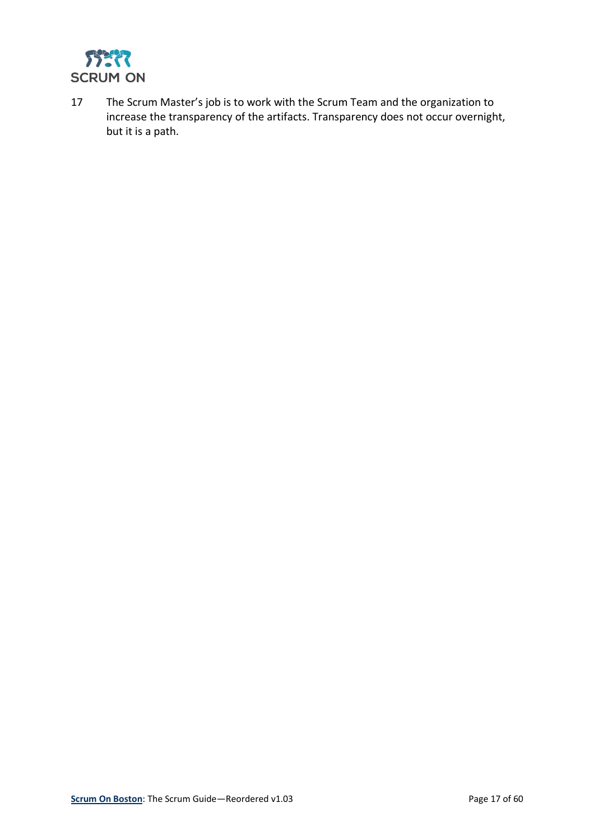

17 The Scrum Master's job is to work with the Scrum Team and the organization to increase the transparency of the artifacts. Transparency does not occur overnight, but it is a path.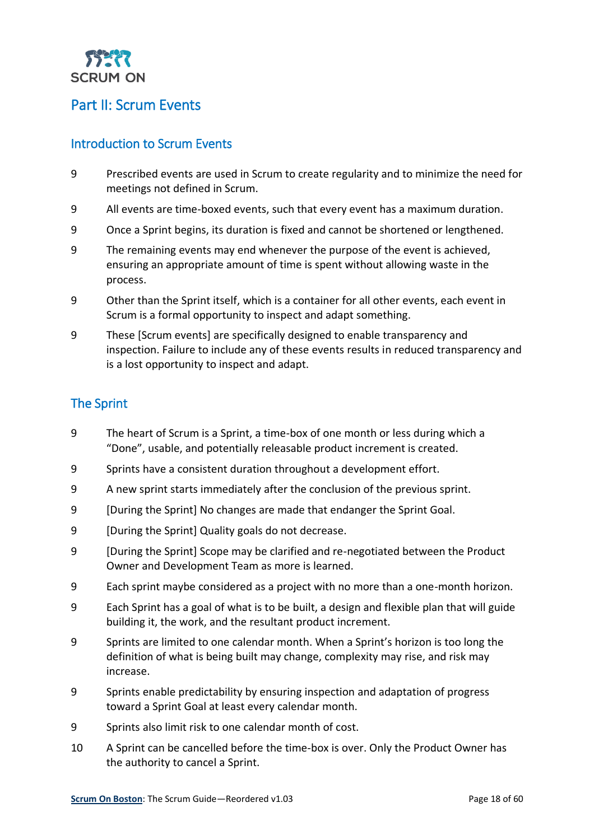

## <span id="page-17-0"></span>Part II: Scrum Events

#### <span id="page-17-1"></span>Introduction to Scrum Events

- 9 Prescribed events are used in Scrum to create regularity and to minimize the need for meetings not defined in Scrum.
- 9 All events are time-boxed events, such that every event has a maximum duration.
- 9 Once a Sprint begins, its duration is fixed and cannot be shortened or lengthened.
- 9 The remaining events may end whenever the purpose of the event is achieved, ensuring an appropriate amount of time is spent without allowing waste in the process.
- 9 Other than the Sprint itself, which is a container for all other events, each event in Scrum is a formal opportunity to inspect and adapt something.
- 9 These [Scrum events] are specifically designed to enable transparency and inspection. Failure to include any of these events results in reduced transparency and is a lost opportunity to inspect and adapt.

#### <span id="page-17-2"></span>The Sprint

- 9 The heart of Scrum is a Sprint, a time-box of one month or less during which a "Done", usable, and potentially releasable product increment is created.
- 9 Sprints have a consistent duration throughout a development effort.
- 9 A new sprint starts immediately after the conclusion of the previous sprint.
- 9 [During the Sprint] No changes are made that endanger the Sprint Goal.
- 9 [During the Sprint] Quality goals do not decrease.
- 9 [During the Sprint] Scope may be clarified and re-negotiated between the Product Owner and Development Team as more is learned.
- 9 Each sprint maybe considered as a project with no more than a one-month horizon.
- 9 Each Sprint has a goal of what is to be built, a design and flexible plan that will guide building it, the work, and the resultant product increment.
- 9 Sprints are limited to one calendar month. When a Sprint's horizon is too long the definition of what is being built may change, complexity may rise, and risk may increase.
- 9 Sprints enable predictability by ensuring inspection and adaptation of progress toward a Sprint Goal at least every calendar month.
- 9 Sprints also limit risk to one calendar month of cost.
- 10 A Sprint can be cancelled before the time-box is over. Only the Product Owner has the authority to cancel a Sprint.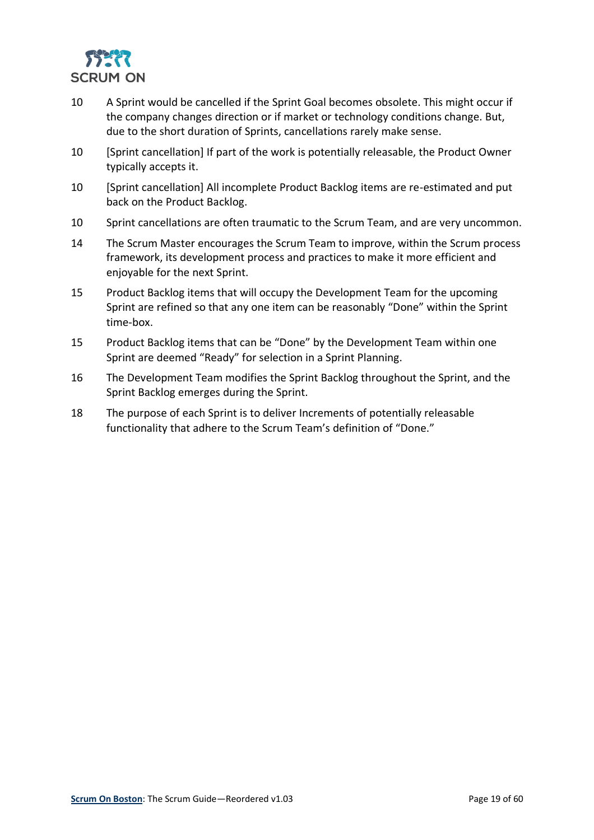

- 10 A Sprint would be cancelled if the Sprint Goal becomes obsolete. This might occur if the company changes direction or if market or technology conditions change. But, due to the short duration of Sprints, cancellations rarely make sense.
- 10 [Sprint cancellation] If part of the work is potentially releasable, the Product Owner typically accepts it.
- 10 [Sprint cancellation] All incomplete Product Backlog items are re-estimated and put back on the Product Backlog.
- 10 Sprint cancellations are often traumatic to the Scrum Team, and are very uncommon.
- 14 The Scrum Master encourages the Scrum Team to improve, within the Scrum process framework, its development process and practices to make it more efficient and enjoyable for the next Sprint.
- 15 Product Backlog items that will occupy the Development Team for the upcoming Sprint are refined so that any one item can be reasonably "Done" within the Sprint time-box.
- 15 Product Backlog items that can be "Done" by the Development Team within one Sprint are deemed "Ready" for selection in a Sprint Planning.
- 16 The Development Team modifies the Sprint Backlog throughout the Sprint, and the Sprint Backlog emerges during the Sprint.
- 18 The purpose of each Sprint is to deliver Increments of potentially releasable functionality that adhere to the Scrum Team's definition of "Done."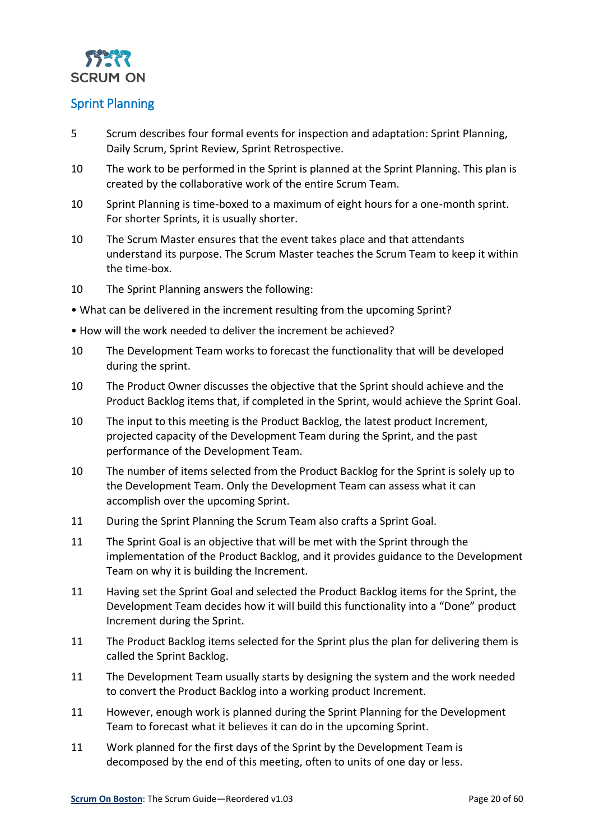

#### <span id="page-19-0"></span>Sprint Planning

- 5 Scrum describes four formal events for inspection and adaptation: Sprint Planning, Daily Scrum, Sprint Review, Sprint Retrospective.
- 10 The work to be performed in the Sprint is planned at the Sprint Planning. This plan is created by the collaborative work of the entire Scrum Team.
- 10 Sprint Planning is time-boxed to a maximum of eight hours for a one-month sprint. For shorter Sprints, it is usually shorter.
- 10 The Scrum Master ensures that the event takes place and that attendants understand its purpose. The Scrum Master teaches the Scrum Team to keep it within the time-box.
- 10 The Sprint Planning answers the following:
- What can be delivered in the increment resulting from the upcoming Sprint?
- How will the work needed to deliver the increment be achieved?
- 10 The Development Team works to forecast the functionality that will be developed during the sprint.
- 10 The Product Owner discusses the objective that the Sprint should achieve and the Product Backlog items that, if completed in the Sprint, would achieve the Sprint Goal.
- 10 The input to this meeting is the Product Backlog, the latest product Increment, projected capacity of the Development Team during the Sprint, and the past performance of the Development Team.
- 10 The number of items selected from the Product Backlog for the Sprint is solely up to the Development Team. Only the Development Team can assess what it can accomplish over the upcoming Sprint.
- 11 During the Sprint Planning the Scrum Team also crafts a Sprint Goal.
- 11 The Sprint Goal is an objective that will be met with the Sprint through the implementation of the Product Backlog, and it provides guidance to the Development Team on why it is building the Increment.
- 11 Having set the Sprint Goal and selected the Product Backlog items for the Sprint, the Development Team decides how it will build this functionality into a "Done" product Increment during the Sprint.
- 11 The Product Backlog items selected for the Sprint plus the plan for delivering them is called the Sprint Backlog.
- 11 The Development Team usually starts by designing the system and the work needed to convert the Product Backlog into a working product Increment.
- 11 However, enough work is planned during the Sprint Planning for the Development Team to forecast what it believes it can do in the upcoming Sprint.
- 11 Work planned for the first days of the Sprint by the Development Team is decomposed by the end of this meeting, often to units of one day or less.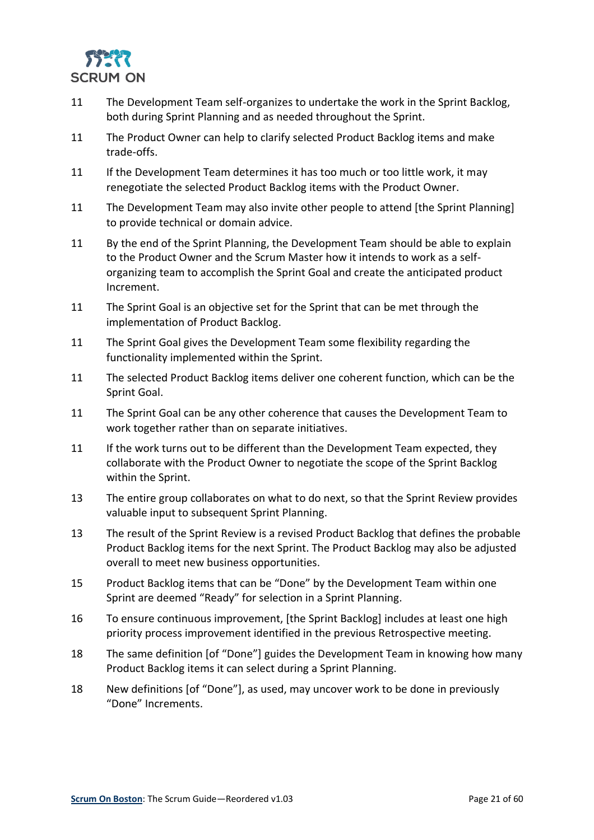

- 11 The Development Team self-organizes to undertake the work in the Sprint Backlog, both during Sprint Planning and as needed throughout the Sprint.
- 11 The Product Owner can help to clarify selected Product Backlog items and make trade-offs.
- 11 If the Development Team determines it has too much or too little work, it may renegotiate the selected Product Backlog items with the Product Owner.
- 11 The Development Team may also invite other people to attend [the Sprint Planning] to provide technical or domain advice.
- 11 By the end of the Sprint Planning, the Development Team should be able to explain to the Product Owner and the Scrum Master how it intends to work as a selforganizing team to accomplish the Sprint Goal and create the anticipated product Increment.
- 11 The Sprint Goal is an objective set for the Sprint that can be met through the implementation of Product Backlog.
- 11 The Sprint Goal gives the Development Team some flexibility regarding the functionality implemented within the Sprint.
- 11 The selected Product Backlog items deliver one coherent function, which can be the Sprint Goal.
- 11 The Sprint Goal can be any other coherence that causes the Development Team to work together rather than on separate initiatives.
- 11 If the work turns out to be different than the Development Team expected, they collaborate with the Product Owner to negotiate the scope of the Sprint Backlog within the Sprint.
- 13 The entire group collaborates on what to do next, so that the Sprint Review provides valuable input to subsequent Sprint Planning.
- 13 The result of the Sprint Review is a revised Product Backlog that defines the probable Product Backlog items for the next Sprint. The Product Backlog may also be adjusted overall to meet new business opportunities.
- 15 Product Backlog items that can be "Done" by the Development Team within one Sprint are deemed "Ready" for selection in a Sprint Planning.
- 16 To ensure continuous improvement, [the Sprint Backlog] includes at least one high priority process improvement identified in the previous Retrospective meeting.
- 18 The same definition [of "Done"] guides the Development Team in knowing how many Product Backlog items it can select during a Sprint Planning.
- 18 New definitions [of "Done"], as used, may uncover work to be done in previously "Done" Increments.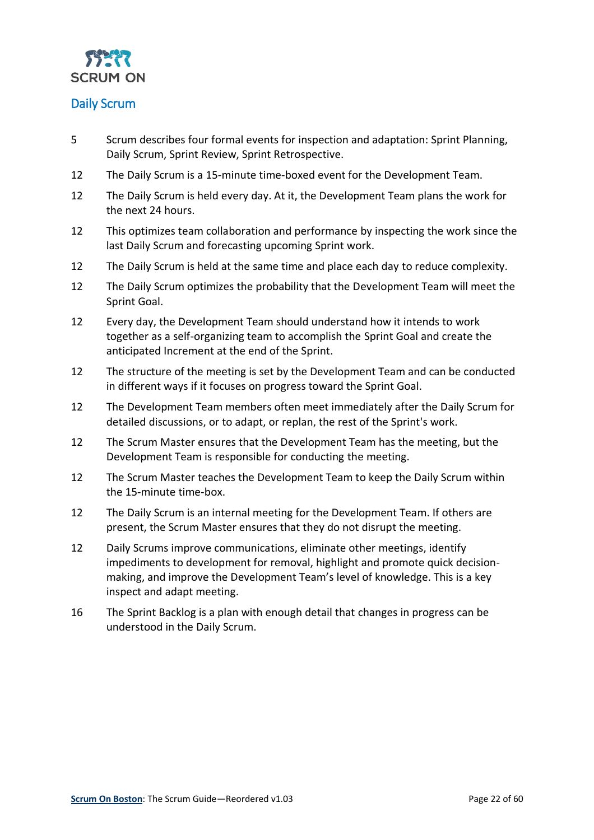

#### <span id="page-21-0"></span>Daily Scrum

- 5 Scrum describes four formal events for inspection and adaptation: Sprint Planning, Daily Scrum, Sprint Review, Sprint Retrospective.
- 12 The Daily Scrum is a 15-minute time-boxed event for the Development Team.
- 12 The Daily Scrum is held every day. At it, the Development Team plans the work for the next 24 hours.
- 12 This optimizes team collaboration and performance by inspecting the work since the last Daily Scrum and forecasting upcoming Sprint work.
- 12 The Daily Scrum is held at the same time and place each day to reduce complexity.
- 12 The Daily Scrum optimizes the probability that the Development Team will meet the Sprint Goal.
- 12 Every day, the Development Team should understand how it intends to work together as a self-organizing team to accomplish the Sprint Goal and create the anticipated Increment at the end of the Sprint.
- 12 The structure of the meeting is set by the Development Team and can be conducted in different ways if it focuses on progress toward the Sprint Goal.
- 12 The Development Team members often meet immediately after the Daily Scrum for detailed discussions, or to adapt, or replan, the rest of the Sprint's work.
- 12 The Scrum Master ensures that the Development Team has the meeting, but the Development Team is responsible for conducting the meeting.
- 12 The Scrum Master teaches the Development Team to keep the Daily Scrum within the 15-minute time-box.
- 12 The Daily Scrum is an internal meeting for the Development Team. If others are present, the Scrum Master ensures that they do not disrupt the meeting.
- 12 Daily Scrums improve communications, eliminate other meetings, identify impediments to development for removal, highlight and promote quick decisionmaking, and improve the Development Team's level of knowledge. This is a key inspect and adapt meeting.
- 16 The Sprint Backlog is a plan with enough detail that changes in progress can be understood in the Daily Scrum.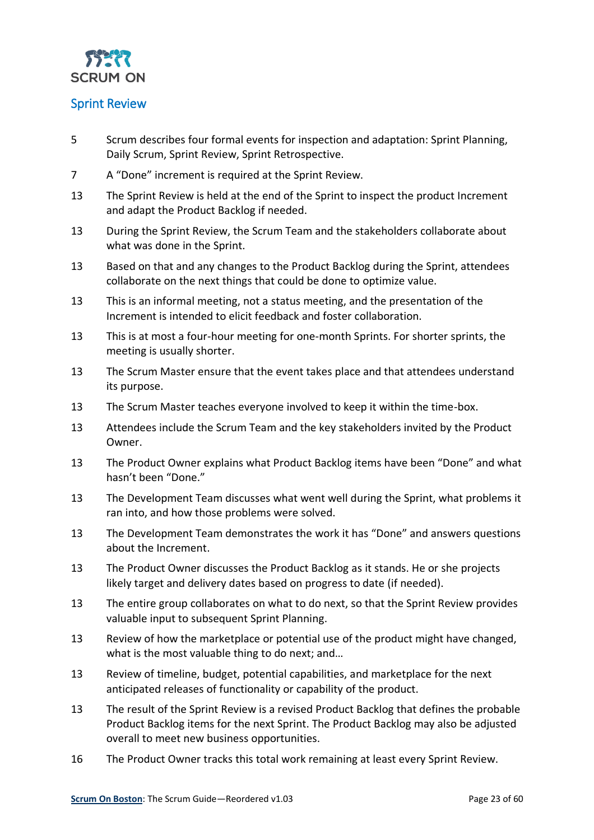

#### <span id="page-22-0"></span>Sprint Review

- 5 Scrum describes four formal events for inspection and adaptation: Sprint Planning, Daily Scrum, Sprint Review, Sprint Retrospective.
- 7 A "Done" increment is required at the Sprint Review.
- 13 The Sprint Review is held at the end of the Sprint to inspect the product Increment and adapt the Product Backlog if needed.
- 13 During the Sprint Review, the Scrum Team and the stakeholders collaborate about what was done in the Sprint.
- 13 Based on that and any changes to the Product Backlog during the Sprint, attendees collaborate on the next things that could be done to optimize value.
- 13 This is an informal meeting, not a status meeting, and the presentation of the Increment is intended to elicit feedback and foster collaboration.
- 13 This is at most a four-hour meeting for one-month Sprints. For shorter sprints, the meeting is usually shorter.
- 13 The Scrum Master ensure that the event takes place and that attendees understand its purpose.
- 13 The Scrum Master teaches everyone involved to keep it within the time-box.
- 13 Attendees include the Scrum Team and the key stakeholders invited by the Product Owner.
- 13 The Product Owner explains what Product Backlog items have been "Done" and what hasn't been "Done."
- 13 The Development Team discusses what went well during the Sprint, what problems it ran into, and how those problems were solved.
- 13 The Development Team demonstrates the work it has "Done" and answers questions about the Increment.
- 13 The Product Owner discusses the Product Backlog as it stands. He or she projects likely target and delivery dates based on progress to date (if needed).
- 13 The entire group collaborates on what to do next, so that the Sprint Review provides valuable input to subsequent Sprint Planning.
- 13 Review of how the marketplace or potential use of the product might have changed, what is the most valuable thing to do next; and…
- 13 Review of timeline, budget, potential capabilities, and marketplace for the next anticipated releases of functionality or capability of the product.
- 13 The result of the Sprint Review is a revised Product Backlog that defines the probable Product Backlog items for the next Sprint. The Product Backlog may also be adjusted overall to meet new business opportunities.
- 16 The Product Owner tracks this total work remaining at least every Sprint Review.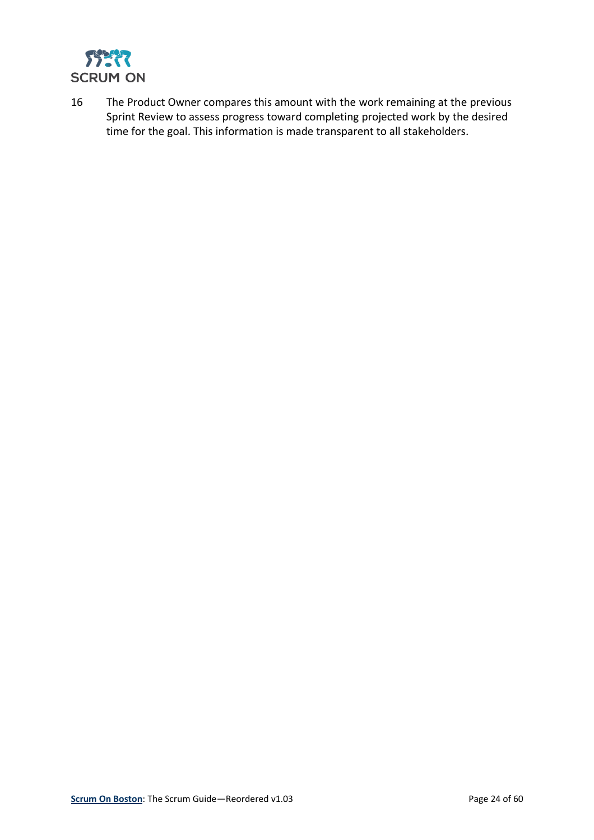

16 The Product Owner compares this amount with the work remaining at the previous Sprint Review to assess progress toward completing projected work by the desired time for the goal. This information is made transparent to all stakeholders.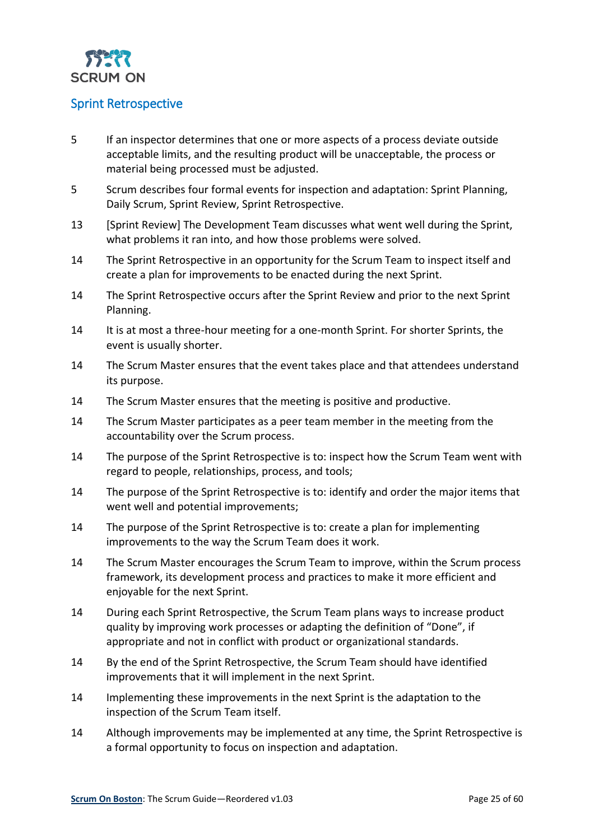

#### <span id="page-24-0"></span>Sprint Retrospective

- 5 If an inspector determines that one or more aspects of a process deviate outside acceptable limits, and the resulting product will be unacceptable, the process or material being processed must be adjusted.
- 5 Scrum describes four formal events for inspection and adaptation: Sprint Planning, Daily Scrum, Sprint Review, Sprint Retrospective.
- 13 [Sprint Review] The Development Team discusses what went well during the Sprint, what problems it ran into, and how those problems were solved.
- 14 The Sprint Retrospective in an opportunity for the Scrum Team to inspect itself and create a plan for improvements to be enacted during the next Sprint.
- 14 The Sprint Retrospective occurs after the Sprint Review and prior to the next Sprint Planning.
- 14 It is at most a three-hour meeting for a one-month Sprint. For shorter Sprints, the event is usually shorter.
- 14 The Scrum Master ensures that the event takes place and that attendees understand its purpose.
- 14 The Scrum Master ensures that the meeting is positive and productive.
- 14 The Scrum Master participates as a peer team member in the meeting from the accountability over the Scrum process.
- 14 The purpose of the Sprint Retrospective is to: inspect how the Scrum Team went with regard to people, relationships, process, and tools;
- 14 The purpose of the Sprint Retrospective is to: identify and order the major items that went well and potential improvements;
- 14 The purpose of the Sprint Retrospective is to: create a plan for implementing improvements to the way the Scrum Team does it work.
- 14 The Scrum Master encourages the Scrum Team to improve, within the Scrum process framework, its development process and practices to make it more efficient and enjoyable for the next Sprint.
- 14 During each Sprint Retrospective, the Scrum Team plans ways to increase product quality by improving work processes or adapting the definition of "Done", if appropriate and not in conflict with product or organizational standards.
- 14 By the end of the Sprint Retrospective, the Scrum Team should have identified improvements that it will implement in the next Sprint.
- 14 Implementing these improvements in the next Sprint is the adaptation to the inspection of the Scrum Team itself.
- 14 Although improvements may be implemented at any time, the Sprint Retrospective is a formal opportunity to focus on inspection and adaptation.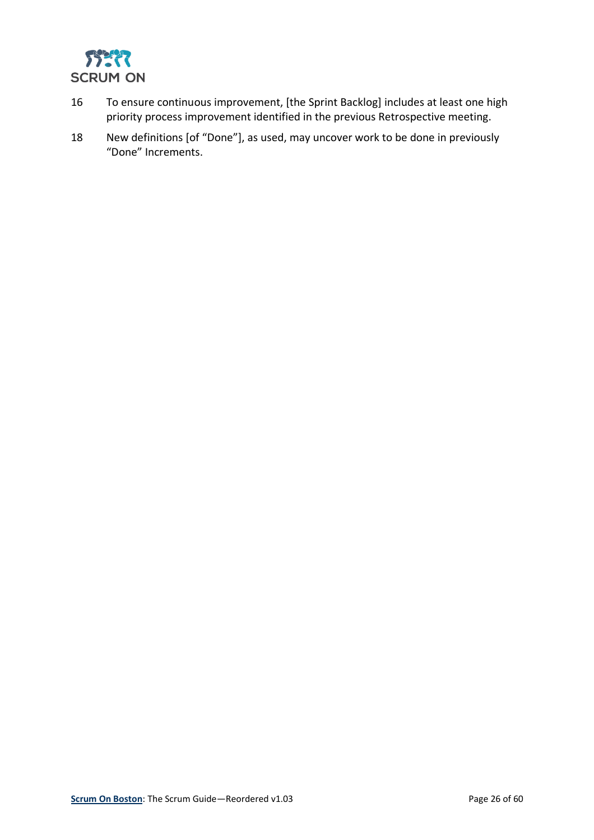

- 16 To ensure continuous improvement, [the Sprint Backlog] includes at least one high priority process improvement identified in the previous Retrospective meeting.
- 18 New definitions [of "Done"], as used, may uncover work to be done in previously "Done" Increments.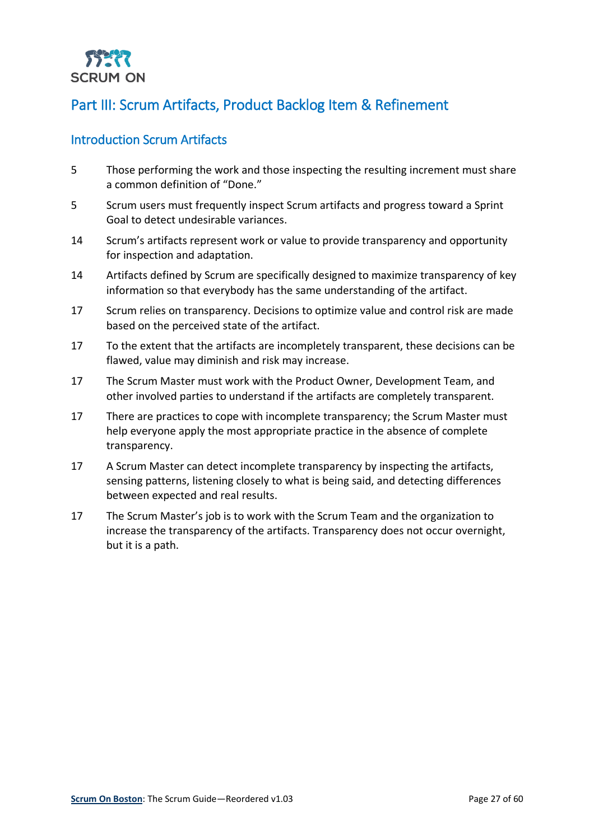

## <span id="page-26-0"></span>Part III: Scrum Artifacts, Product Backlog Item & Refinement

#### <span id="page-26-1"></span>Introduction Scrum Artifacts

- 5 Those performing the work and those inspecting the resulting increment must share a common definition of "Done."
- 5 Scrum users must frequently inspect Scrum artifacts and progress toward a Sprint Goal to detect undesirable variances.
- 14 Scrum's artifacts represent work or value to provide transparency and opportunity for inspection and adaptation.
- 14 Artifacts defined by Scrum are specifically designed to maximize transparency of key information so that everybody has the same understanding of the artifact.
- 17 Scrum relies on transparency. Decisions to optimize value and control risk are made based on the perceived state of the artifact.
- 17 To the extent that the artifacts are incompletely transparent, these decisions can be flawed, value may diminish and risk may increase.
- 17 The Scrum Master must work with the Product Owner, Development Team, and other involved parties to understand if the artifacts are completely transparent.
- 17 There are practices to cope with incomplete transparency; the Scrum Master must help everyone apply the most appropriate practice in the absence of complete transparency.
- 17 A Scrum Master can detect incomplete transparency by inspecting the artifacts, sensing patterns, listening closely to what is being said, and detecting differences between expected and real results.
- 17 The Scrum Master's job is to work with the Scrum Team and the organization to increase the transparency of the artifacts. Transparency does not occur overnight, but it is a path.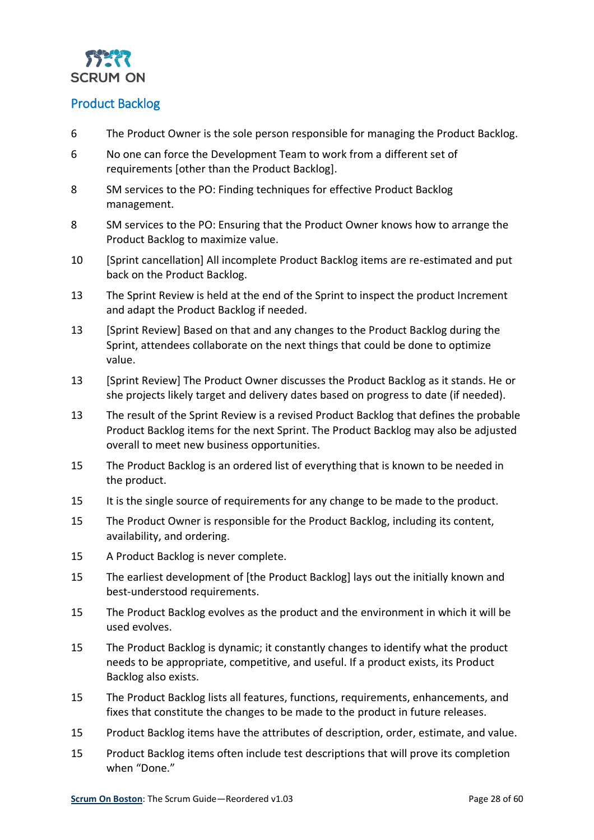

#### <span id="page-27-0"></span>Product Backlog

- 6 The Product Owner is the sole person responsible for managing the Product Backlog.
- 6 No one can force the Development Team to work from a different set of requirements [other than the Product Backlog].
- 8 SM services to the PO: Finding techniques for effective Product Backlog management.
- 8 SM services to the PO: Ensuring that the Product Owner knows how to arrange the Product Backlog to maximize value.
- 10 [Sprint cancellation] All incomplete Product Backlog items are re-estimated and put back on the Product Backlog.
- 13 The Sprint Review is held at the end of the Sprint to inspect the product Increment and adapt the Product Backlog if needed.
- 13 [Sprint Review] Based on that and any changes to the Product Backlog during the Sprint, attendees collaborate on the next things that could be done to optimize value.
- 13 [Sprint Review] The Product Owner discusses the Product Backlog as it stands. He or she projects likely target and delivery dates based on progress to date (if needed).
- 13 The result of the Sprint Review is a revised Product Backlog that defines the probable Product Backlog items for the next Sprint. The Product Backlog may also be adjusted overall to meet new business opportunities.
- 15 The Product Backlog is an ordered list of everything that is known to be needed in the product.
- 15 It is the single source of requirements for any change to be made to the product.
- 15 The Product Owner is responsible for the Product Backlog, including its content, availability, and ordering.
- 15 A Product Backlog is never complete.
- 15 The earliest development of [the Product Backlog] lays out the initially known and best-understood requirements.
- 15 The Product Backlog evolves as the product and the environment in which it will be used evolves.
- 15 The Product Backlog is dynamic; it constantly changes to identify what the product needs to be appropriate, competitive, and useful. If a product exists, its Product Backlog also exists.
- 15 The Product Backlog lists all features, functions, requirements, enhancements, and fixes that constitute the changes to be made to the product in future releases.
- 15 Product Backlog items have the attributes of description, order, estimate, and value.
- 15 Product Backlog items often include test descriptions that will prove its completion when "Done."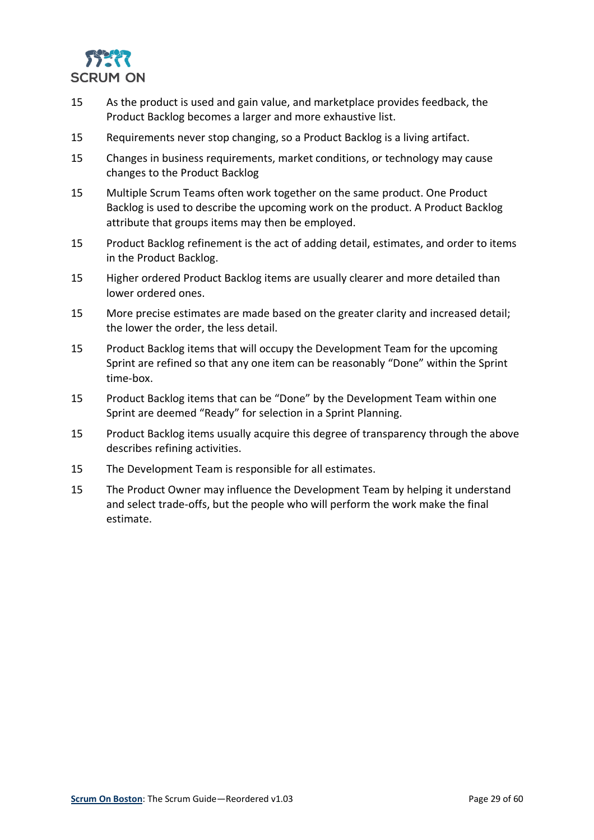

- 15 As the product is used and gain value, and marketplace provides feedback, the Product Backlog becomes a larger and more exhaustive list.
- 15 Requirements never stop changing, so a Product Backlog is a living artifact.
- 15 Changes in business requirements, market conditions, or technology may cause changes to the Product Backlog
- 15 Multiple Scrum Teams often work together on the same product. One Product Backlog is used to describe the upcoming work on the product. A Product Backlog attribute that groups items may then be employed.
- 15 Product Backlog refinement is the act of adding detail, estimates, and order to items in the Product Backlog.
- 15 Higher ordered Product Backlog items are usually clearer and more detailed than lower ordered ones.
- 15 More precise estimates are made based on the greater clarity and increased detail; the lower the order, the less detail.
- 15 Product Backlog items that will occupy the Development Team for the upcoming Sprint are refined so that any one item can be reasonably "Done" within the Sprint time-box.
- 15 Product Backlog items that can be "Done" by the Development Team within one Sprint are deemed "Ready" for selection in a Sprint Planning.
- 15 Product Backlog items usually acquire this degree of transparency through the above describes refining activities.
- 15 The Development Team is responsible for all estimates.
- 15 The Product Owner may influence the Development Team by helping it understand and select trade-offs, but the people who will perform the work make the final estimate.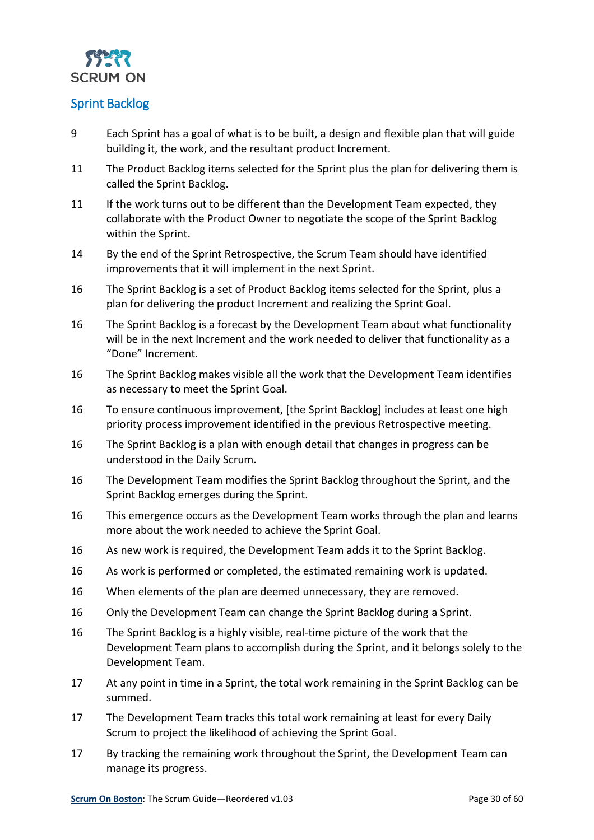

#### <span id="page-29-0"></span>Sprint Backlog

- 9 Each Sprint has a goal of what is to be built, a design and flexible plan that will guide building it, the work, and the resultant product Increment.
- 11 The Product Backlog items selected for the Sprint plus the plan for delivering them is called the Sprint Backlog.
- 11 If the work turns out to be different than the Development Team expected, they collaborate with the Product Owner to negotiate the scope of the Sprint Backlog within the Sprint.
- 14 By the end of the Sprint Retrospective, the Scrum Team should have identified improvements that it will implement in the next Sprint.
- 16 The Sprint Backlog is a set of Product Backlog items selected for the Sprint, plus a plan for delivering the product Increment and realizing the Sprint Goal.
- 16 The Sprint Backlog is a forecast by the Development Team about what functionality will be in the next Increment and the work needed to deliver that functionality as a "Done" Increment.
- 16 The Sprint Backlog makes visible all the work that the Development Team identifies as necessary to meet the Sprint Goal.
- 16 To ensure continuous improvement, [the Sprint Backlog] includes at least one high priority process improvement identified in the previous Retrospective meeting.
- 16 The Sprint Backlog is a plan with enough detail that changes in progress can be understood in the Daily Scrum.
- 16 The Development Team modifies the Sprint Backlog throughout the Sprint, and the Sprint Backlog emerges during the Sprint.
- 16 This emergence occurs as the Development Team works through the plan and learns more about the work needed to achieve the Sprint Goal.
- 16 As new work is required, the Development Team adds it to the Sprint Backlog.
- 16 As work is performed or completed, the estimated remaining work is updated.
- 16 When elements of the plan are deemed unnecessary, they are removed.
- 16 Only the Development Team can change the Sprint Backlog during a Sprint.
- 16 The Sprint Backlog is a highly visible, real-time picture of the work that the Development Team plans to accomplish during the Sprint, and it belongs solely to the Development Team.
- 17 At any point in time in a Sprint, the total work remaining in the Sprint Backlog can be summed.
- 17 The Development Team tracks this total work remaining at least for every Daily Scrum to project the likelihood of achieving the Sprint Goal.
- 17 By tracking the remaining work throughout the Sprint, the Development Team can manage its progress.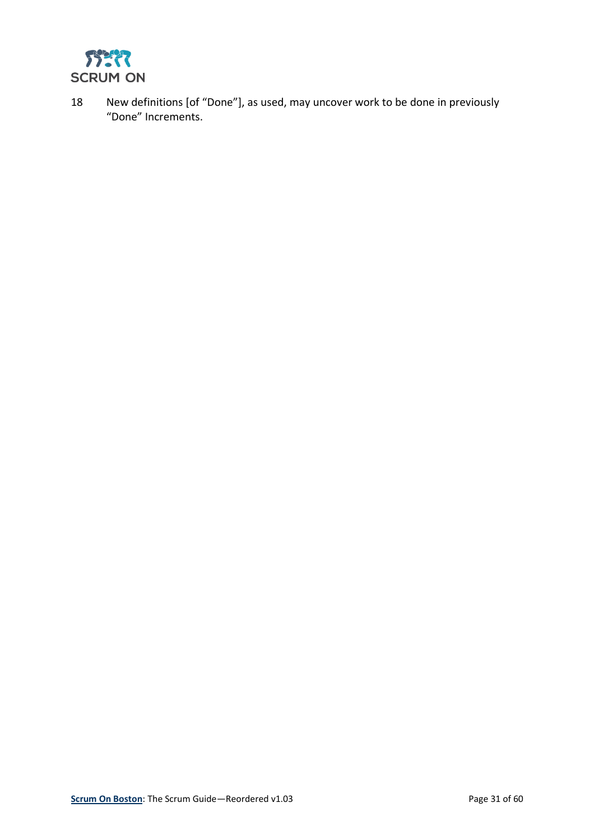

18 New definitions [of "Done"], as used, may uncover work to be done in previously "Done" Increments.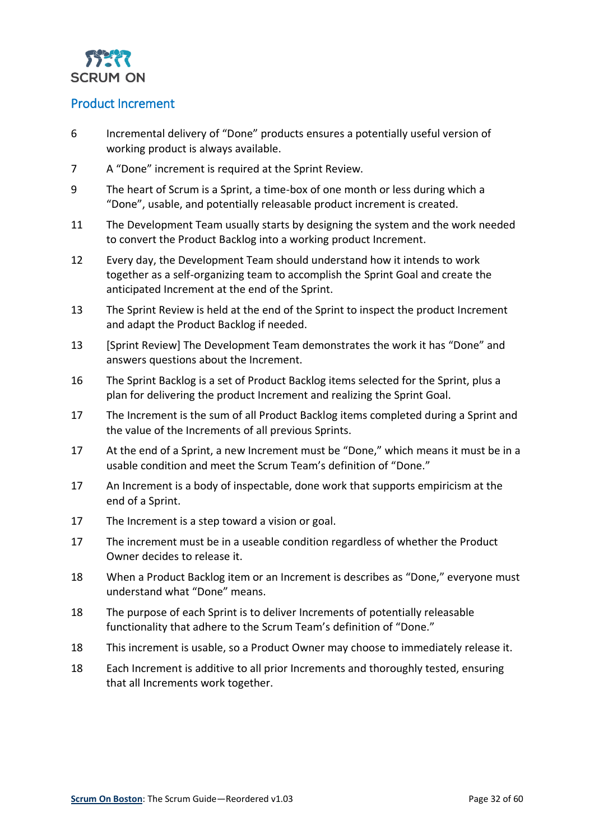

#### <span id="page-31-0"></span>Product Increment

- 6 Incremental delivery of "Done" products ensures a potentially useful version of working product is always available.
- 7 A "Done" increment is required at the Sprint Review.
- 9 The heart of Scrum is a Sprint, a time-box of one month or less during which a "Done", usable, and potentially releasable product increment is created.
- 11 The Development Team usually starts by designing the system and the work needed to convert the Product Backlog into a working product Increment.
- 12 Every day, the Development Team should understand how it intends to work together as a self-organizing team to accomplish the Sprint Goal and create the anticipated Increment at the end of the Sprint.
- 13 The Sprint Review is held at the end of the Sprint to inspect the product Increment and adapt the Product Backlog if needed.
- 13 [Sprint Review] The Development Team demonstrates the work it has "Done" and answers questions about the Increment.
- 16 The Sprint Backlog is a set of Product Backlog items selected for the Sprint, plus a plan for delivering the product Increment and realizing the Sprint Goal.
- 17 The Increment is the sum of all Product Backlog items completed during a Sprint and the value of the Increments of all previous Sprints.
- 17 At the end of a Sprint, a new Increment must be "Done," which means it must be in a usable condition and meet the Scrum Team's definition of "Done."
- 17 An Increment is a body of inspectable, done work that supports empiricism at the end of a Sprint.
- 17 The Increment is a step toward a vision or goal.
- 17 The increment must be in a useable condition regardless of whether the Product Owner decides to release it.
- 18 When a Product Backlog item or an Increment is describes as "Done," everyone must understand what "Done" means.
- 18 The purpose of each Sprint is to deliver Increments of potentially releasable functionality that adhere to the Scrum Team's definition of "Done."
- 18 This increment is usable, so a Product Owner may choose to immediately release it.
- 18 Each Increment is additive to all prior Increments and thoroughly tested, ensuring that all Increments work together.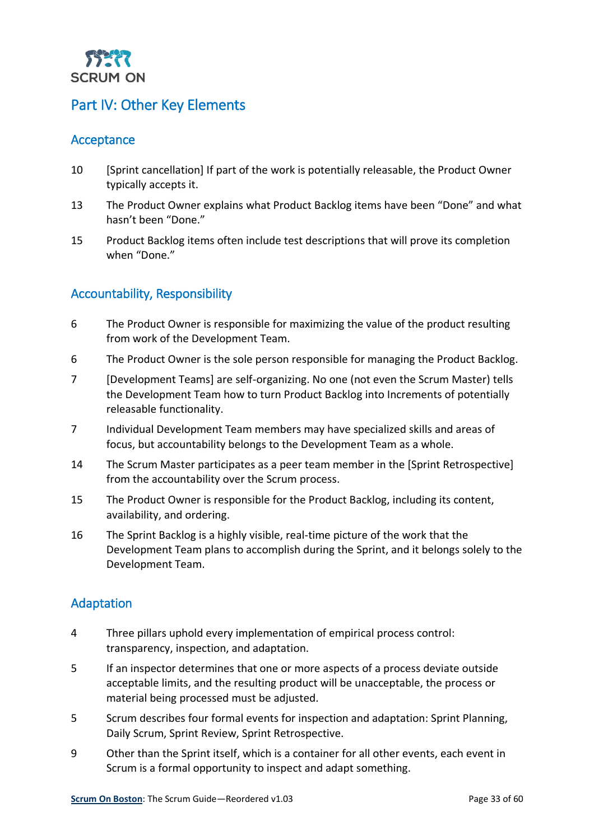

## <span id="page-32-0"></span>Part IV: Other Key Elements

#### <span id="page-32-1"></span>Acceptance

- 10 [Sprint cancellation] If part of the work is potentially releasable, the Product Owner typically accepts it.
- 13 The Product Owner explains what Product Backlog items have been "Done" and what hasn't been "Done."
- 15 Product Backlog items often include test descriptions that will prove its completion when "Done."

#### <span id="page-32-2"></span>Accountability, Responsibility

- 6 The Product Owner is responsible for maximizing the value of the product resulting from work of the Development Team.
- 6 The Product Owner is the sole person responsible for managing the Product Backlog.
- 7 [Development Teams] are self-organizing. No one (not even the Scrum Master) tells the Development Team how to turn Product Backlog into Increments of potentially releasable functionality.
- 7 Individual Development Team members may have specialized skills and areas of focus, but accountability belongs to the Development Team as a whole.
- 14 The Scrum Master participates as a peer team member in the [Sprint Retrospective] from the accountability over the Scrum process.
- 15 The Product Owner is responsible for the Product Backlog, including its content, availability, and ordering.
- 16 The Sprint Backlog is a highly visible, real-time picture of the work that the Development Team plans to accomplish during the Sprint, and it belongs solely to the Development Team.

#### <span id="page-32-3"></span>Adaptation

- 4 Three pillars uphold every implementation of empirical process control: transparency, inspection, and adaptation.
- 5 If an inspector determines that one or more aspects of a process deviate outside acceptable limits, and the resulting product will be unacceptable, the process or material being processed must be adjusted.
- 5 Scrum describes four formal events for inspection and adaptation: Sprint Planning, Daily Scrum, Sprint Review, Sprint Retrospective.
- 9 Other than the Sprint itself, which is a container for all other events, each event in Scrum is a formal opportunity to inspect and adapt something.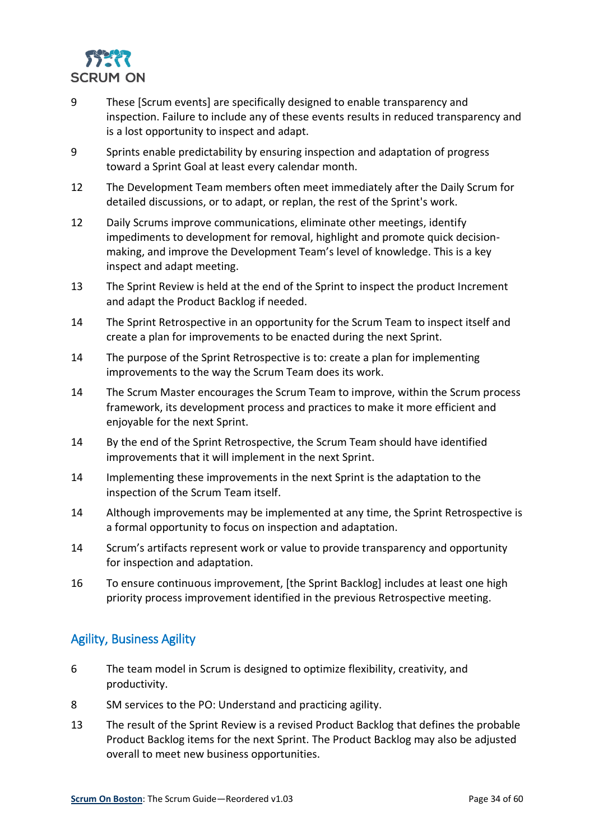

- 9 These [Scrum events] are specifically designed to enable transparency and inspection. Failure to include any of these events results in reduced transparency and is a lost opportunity to inspect and adapt.
- 9 Sprints enable predictability by ensuring inspection and adaptation of progress toward a Sprint Goal at least every calendar month.
- 12 The Development Team members often meet immediately after the Daily Scrum for detailed discussions, or to adapt, or replan, the rest of the Sprint's work.
- 12 Daily Scrums improve communications, eliminate other meetings, identify impediments to development for removal, highlight and promote quick decisionmaking, and improve the Development Team's level of knowledge. This is a key inspect and adapt meeting.
- 13 The Sprint Review is held at the end of the Sprint to inspect the product Increment and adapt the Product Backlog if needed.
- 14 The Sprint Retrospective in an opportunity for the Scrum Team to inspect itself and create a plan for improvements to be enacted during the next Sprint.
- 14 The purpose of the Sprint Retrospective is to: create a plan for implementing improvements to the way the Scrum Team does its work.
- 14 The Scrum Master encourages the Scrum Team to improve, within the Scrum process framework, its development process and practices to make it more efficient and enjoyable for the next Sprint.
- 14 By the end of the Sprint Retrospective, the Scrum Team should have identified improvements that it will implement in the next Sprint.
- 14 Implementing these improvements in the next Sprint is the adaptation to the inspection of the Scrum Team itself.
- 14 Although improvements may be implemented at any time, the Sprint Retrospective is a formal opportunity to focus on inspection and adaptation.
- 14 Scrum's artifacts represent work or value to provide transparency and opportunity for inspection and adaptation.
- 16 To ensure continuous improvement, [the Sprint Backlog] includes at least one high priority process improvement identified in the previous Retrospective meeting.

#### <span id="page-33-0"></span>Agility, Business Agility

- 6 The team model in Scrum is designed to optimize flexibility, creativity, and productivity.
- 8 SM services to the PO: Understand and practicing agility.
- 13 The result of the Sprint Review is a revised Product Backlog that defines the probable Product Backlog items for the next Sprint. The Product Backlog may also be adjusted overall to meet new business opportunities.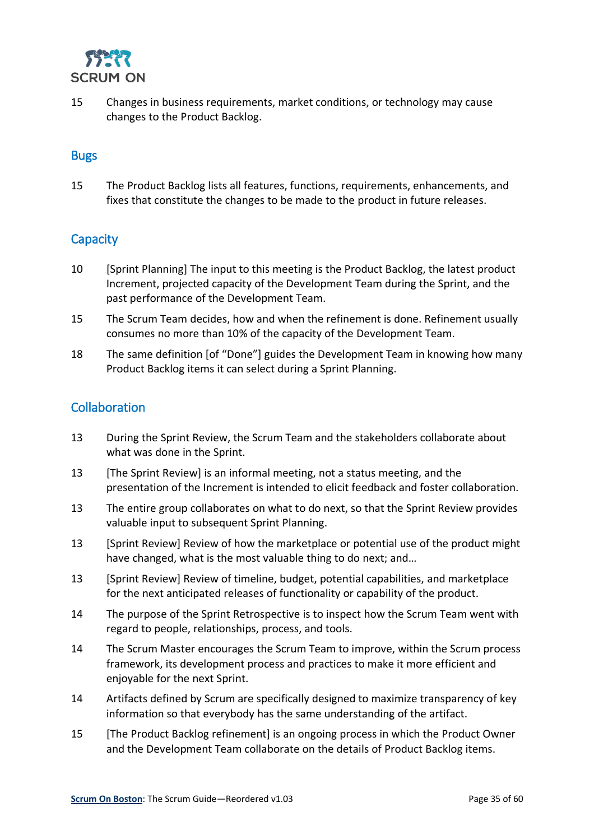

15 Changes in business requirements, market conditions, or technology may cause changes to the Product Backlog.

#### <span id="page-34-0"></span>**Bugs**

15 The Product Backlog lists all features, functions, requirements, enhancements, and fixes that constitute the changes to be made to the product in future releases.

#### <span id="page-34-1"></span>**Capacity**

- 10 [Sprint Planning] The input to this meeting is the Product Backlog, the latest product Increment, projected capacity of the Development Team during the Sprint, and the past performance of the Development Team.
- 15 The Scrum Team decides, how and when the refinement is done. Refinement usually consumes no more than 10% of the capacity of the Development Team.
- 18 The same definition [of "Done"] guides the Development Team in knowing how many Product Backlog items it can select during a Sprint Planning.

#### <span id="page-34-2"></span>Collaboration

- 13 During the Sprint Review, the Scrum Team and the stakeholders collaborate about what was done in the Sprint.
- 13 [The Sprint Review] is an informal meeting, not a status meeting, and the presentation of the Increment is intended to elicit feedback and foster collaboration.
- 13 The entire group collaborates on what to do next, so that the Sprint Review provides valuable input to subsequent Sprint Planning.
- 13 [Sprint Review] Review of how the marketplace or potential use of the product might have changed, what is the most valuable thing to do next; and…
- 13 [Sprint Review] Review of timeline, budget, potential capabilities, and marketplace for the next anticipated releases of functionality or capability of the product.
- 14 The purpose of the Sprint Retrospective is to inspect how the Scrum Team went with regard to people, relationships, process, and tools.
- 14 The Scrum Master encourages the Scrum Team to improve, within the Scrum process framework, its development process and practices to make it more efficient and enjoyable for the next Sprint.
- 14 Artifacts defined by Scrum are specifically designed to maximize transparency of key information so that everybody has the same understanding of the artifact.
- 15 [The Product Backlog refinement] is an ongoing process in which the Product Owner and the Development Team collaborate on the details of Product Backlog items.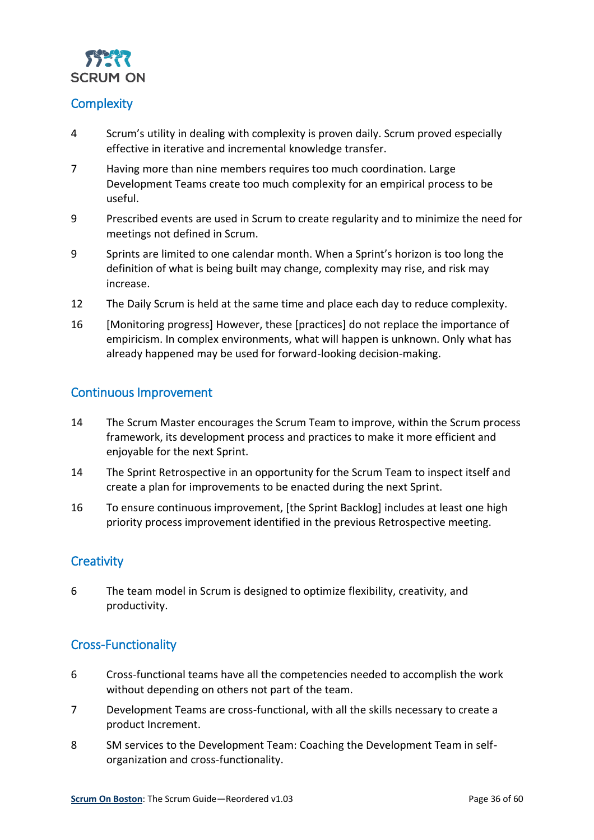

#### <span id="page-35-0"></span>**Complexity**

- 4 Scrum's utility in dealing with complexity is proven daily. Scrum proved especially effective in iterative and incremental knowledge transfer.
- 7 Having more than nine members requires too much coordination. Large Development Teams create too much complexity for an empirical process to be useful.
- 9 Prescribed events are used in Scrum to create regularity and to minimize the need for meetings not defined in Scrum.
- 9 Sprints are limited to one calendar month. When a Sprint's horizon is too long the definition of what is being built may change, complexity may rise, and risk may increase.
- 12 The Daily Scrum is held at the same time and place each day to reduce complexity.
- 16 [Monitoring progress] However, these [practices] do not replace the importance of empiricism. In complex environments, what will happen is unknown. Only what has already happened may be used for forward-looking decision-making.

#### <span id="page-35-1"></span>Continuous Improvement

- 14 The Scrum Master encourages the Scrum Team to improve, within the Scrum process framework, its development process and practices to make it more efficient and enjoyable for the next Sprint.
- 14 The Sprint Retrospective in an opportunity for the Scrum Team to inspect itself and create a plan for improvements to be enacted during the next Sprint.
- 16 To ensure continuous improvement, [the Sprint Backlog] includes at least one high priority process improvement identified in the previous Retrospective meeting.

#### <span id="page-35-2"></span>**Creativity**

6 The team model in Scrum is designed to optimize flexibility, creativity, and productivity.

#### <span id="page-35-3"></span>Cross-Functionality

- 6 Cross-functional teams have all the competencies needed to accomplish the work without depending on others not part of the team.
- 7 Development Teams are cross-functional, with all the skills necessary to create a product Increment.
- 8 SM services to the Development Team: Coaching the Development Team in selforganization and cross-functionality.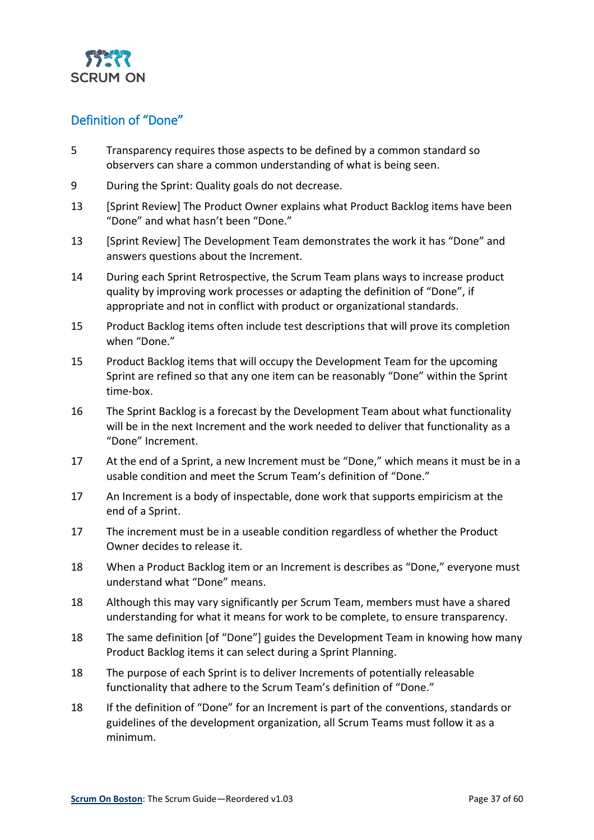

#### <span id="page-36-0"></span>Definition of "Done"

- 5 Transparency requires those aspects to be defined by a common standard so observers can share a common understanding of what is being seen.
- 9 During the Sprint: Quality goals do not decrease.
- 13 [Sprint Review] The Product Owner explains what Product Backlog items have been "Done" and what hasn't been "Done."
- 13 [Sprint Review] The Development Team demonstrates the work it has "Done" and answers questions about the Increment.
- 14 During each Sprint Retrospective, the Scrum Team plans ways to increase product quality by improving work processes or adapting the definition of "Done", if appropriate and not in conflict with product or organizational standards.
- 15 Product Backlog items often include test descriptions that will prove its completion when "Done."
- 15 Product Backlog items that will occupy the Development Team for the upcoming Sprint are refined so that any one item can be reasonably "Done" within the Sprint time-box.
- 16 The Sprint Backlog is a forecast by the Development Team about what functionality will be in the next Increment and the work needed to deliver that functionality as a "Done" Increment.
- 17 At the end of a Sprint, a new Increment must be "Done," which means it must be in a usable condition and meet the Scrum Team's definition of "Done."
- 17 An Increment is a body of inspectable, done work that supports empiricism at the end of a Sprint.
- 17 The increment must be in a useable condition regardless of whether the Product Owner decides to release it.
- 18 When a Product Backlog item or an Increment is describes as "Done," everyone must understand what "Done" means.
- 18 Although this may vary significantly per Scrum Team, members must have a shared understanding for what it means for work to be complete, to ensure transparency.
- 18 The same definition [of "Done"] guides the Development Team in knowing how many Product Backlog items it can select during a Sprint Planning.
- 18 The purpose of each Sprint is to deliver Increments of potentially releasable functionality that adhere to the Scrum Team's definition of "Done."
- 18 If the definition of "Done" for an Increment is part of the conventions, standards or guidelines of the development organization, all Scrum Teams must follow it as a minimum.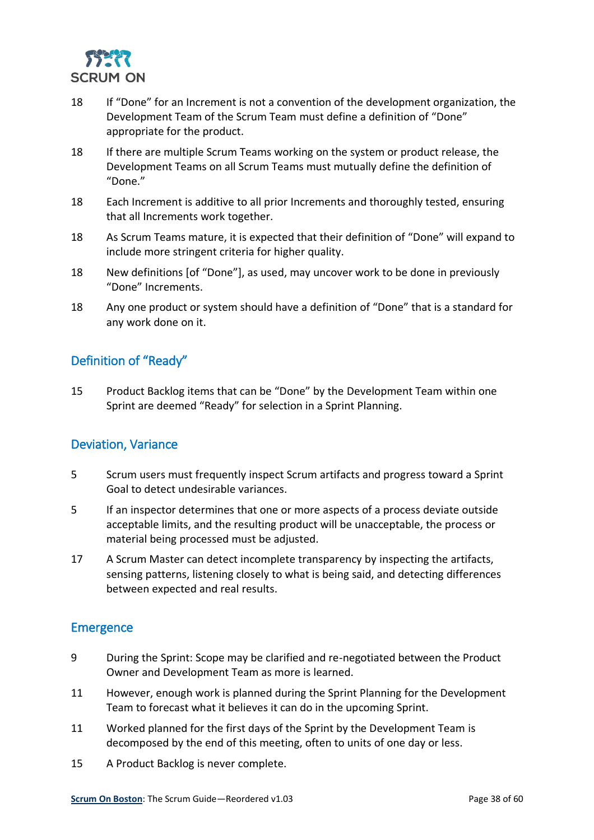

- 18 If "Done" for an Increment is not a convention of the development organization, the Development Team of the Scrum Team must define a definition of "Done" appropriate for the product.
- 18 If there are multiple Scrum Teams working on the system or product release, the Development Teams on all Scrum Teams must mutually define the definition of "Done."
- 18 Each Increment is additive to all prior Increments and thoroughly tested, ensuring that all Increments work together.
- 18 As Scrum Teams mature, it is expected that their definition of "Done" will expand to include more stringent criteria for higher quality.
- 18 New definitions [of "Done"], as used, may uncover work to be done in previously "Done" Increments.
- 18 Any one product or system should have a definition of "Done" that is a standard for any work done on it.

#### <span id="page-37-0"></span>Definition of "Ready"

15 Product Backlog items that can be "Done" by the Development Team within one Sprint are deemed "Ready" for selection in a Sprint Planning.

#### <span id="page-37-1"></span>Deviation, Variance

- 5 Scrum users must frequently inspect Scrum artifacts and progress toward a Sprint Goal to detect undesirable variances.
- 5 If an inspector determines that one or more aspects of a process deviate outside acceptable limits, and the resulting product will be unacceptable, the process or material being processed must be adjusted.
- 17 A Scrum Master can detect incomplete transparency by inspecting the artifacts, sensing patterns, listening closely to what is being said, and detecting differences between expected and real results.

#### <span id="page-37-2"></span>**Emergence**

- 9 During the Sprint: Scope may be clarified and re-negotiated between the Product Owner and Development Team as more is learned.
- 11 However, enough work is planned during the Sprint Planning for the Development Team to forecast what it believes it can do in the upcoming Sprint.
- 11 Worked planned for the first days of the Sprint by the Development Team is decomposed by the end of this meeting, often to units of one day or less.
- 15 A Product Backlog is never complete.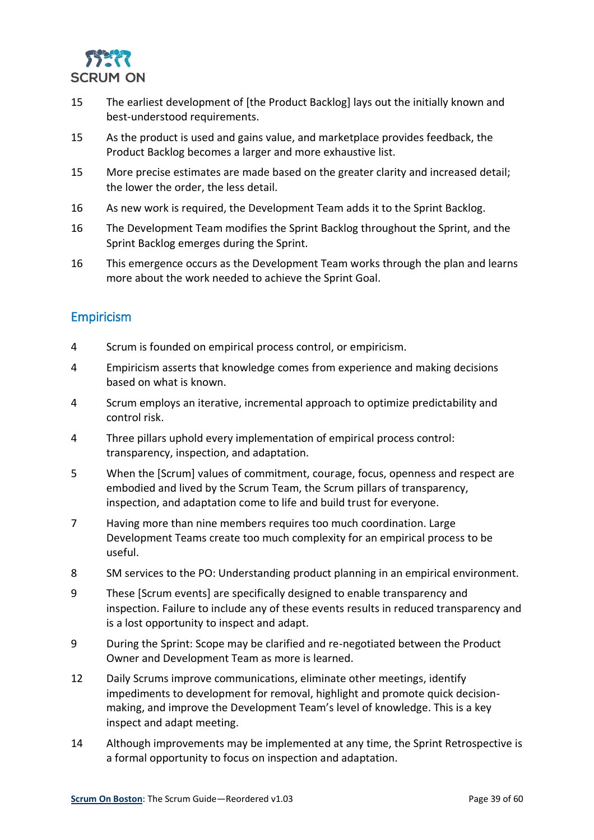

- 15 The earliest development of [the Product Backlog] lays out the initially known and best-understood requirements.
- 15 As the product is used and gains value, and marketplace provides feedback, the Product Backlog becomes a larger and more exhaustive list.
- 15 More precise estimates are made based on the greater clarity and increased detail; the lower the order, the less detail.
- 16 As new work is required, the Development Team adds it to the Sprint Backlog.
- 16 The Development Team modifies the Sprint Backlog throughout the Sprint, and the Sprint Backlog emerges during the Sprint.
- 16 This emergence occurs as the Development Team works through the plan and learns more about the work needed to achieve the Sprint Goal.

#### <span id="page-38-0"></span>Empiricism

- 4 Scrum is founded on empirical process control, or empiricism.
- 4 Empiricism asserts that knowledge comes from experience and making decisions based on what is known.
- 4 Scrum employs an iterative, incremental approach to optimize predictability and control risk.
- 4 Three pillars uphold every implementation of empirical process control: transparency, inspection, and adaptation.
- 5 When the [Scrum] values of commitment, courage, focus, openness and respect are embodied and lived by the Scrum Team, the Scrum pillars of transparency, inspection, and adaptation come to life and build trust for everyone.
- 7 Having more than nine members requires too much coordination. Large Development Teams create too much complexity for an empirical process to be useful.
- 8 SM services to the PO: Understanding product planning in an empirical environment.
- 9 These [Scrum events] are specifically designed to enable transparency and inspection. Failure to include any of these events results in reduced transparency and is a lost opportunity to inspect and adapt.
- 9 During the Sprint: Scope may be clarified and re-negotiated between the Product Owner and Development Team as more is learned.
- 12 Daily Scrums improve communications, eliminate other meetings, identify impediments to development for removal, highlight and promote quick decisionmaking, and improve the Development Team's level of knowledge. This is a key inspect and adapt meeting.
- 14 Although improvements may be implemented at any time, the Sprint Retrospective is a formal opportunity to focus on inspection and adaptation.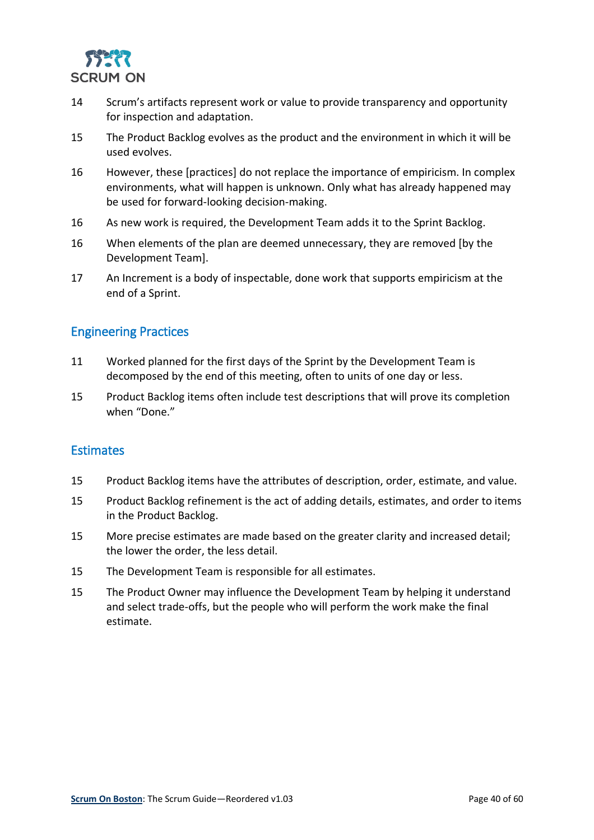

- 14 Scrum's artifacts represent work or value to provide transparency and opportunity for inspection and adaptation.
- 15 The Product Backlog evolves as the product and the environment in which it will be used evolves.
- 16 However, these [practices] do not replace the importance of empiricism. In complex environments, what will happen is unknown. Only what has already happened may be used for forward-looking decision-making.
- 16 As new work is required, the Development Team adds it to the Sprint Backlog.
- 16 When elements of the plan are deemed unnecessary, they are removed [by the Development Team].
- 17 An Increment is a body of inspectable, done work that supports empiricism at the end of a Sprint.

#### <span id="page-39-0"></span>Engineering Practices

- 11 Worked planned for the first days of the Sprint by the Development Team is decomposed by the end of this meeting, often to units of one day or less.
- 15 Product Backlog items often include test descriptions that will prove its completion when "Done."

#### <span id="page-39-1"></span>**Estimates**

- 15 Product Backlog items have the attributes of description, order, estimate, and value.
- 15 Product Backlog refinement is the act of adding details, estimates, and order to items in the Product Backlog.
- 15 More precise estimates are made based on the greater clarity and increased detail; the lower the order, the less detail.
- 15 The Development Team is responsible for all estimates.
- 15 The Product Owner may influence the Development Team by helping it understand and select trade-offs, but the people who will perform the work make the final estimate.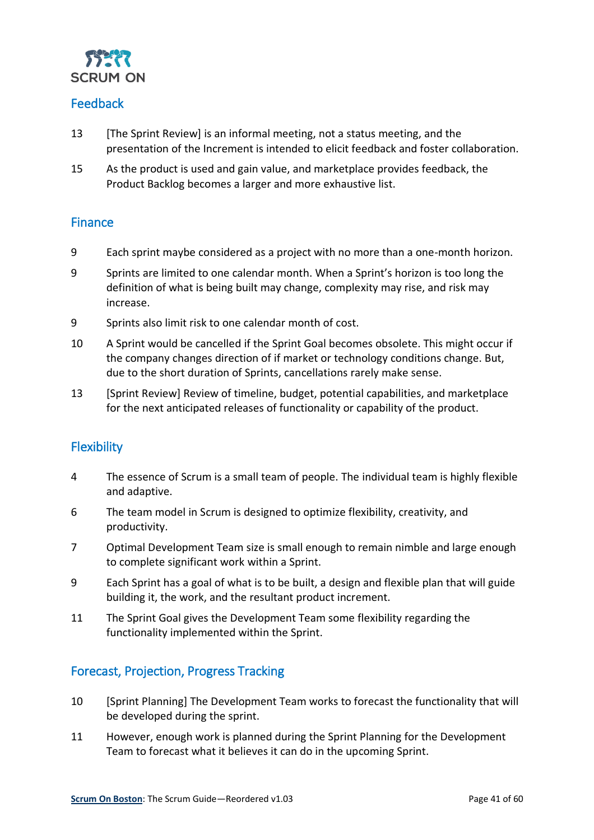

#### <span id="page-40-0"></span>Feedback

- 13 [The Sprint Review] is an informal meeting, not a status meeting, and the presentation of the Increment is intended to elicit feedback and foster collaboration.
- 15 As the product is used and gain value, and marketplace provides feedback, the Product Backlog becomes a larger and more exhaustive list.

#### <span id="page-40-1"></span>**Finance**

- 9 Each sprint maybe considered as a project with no more than a one-month horizon.
- 9 Sprints are limited to one calendar month. When a Sprint's horizon is too long the definition of what is being built may change, complexity may rise, and risk may increase.
- 9 Sprints also limit risk to one calendar month of cost.
- 10 A Sprint would be cancelled if the Sprint Goal becomes obsolete. This might occur if the company changes direction of if market or technology conditions change. But, due to the short duration of Sprints, cancellations rarely make sense.
- 13 [Sprint Review] Review of timeline, budget, potential capabilities, and marketplace for the next anticipated releases of functionality or capability of the product.

#### <span id="page-40-2"></span>**Flexibility**

- 4 The essence of Scrum is a small team of people. The individual team is highly flexible and adaptive.
- 6 The team model in Scrum is designed to optimize flexibility, creativity, and productivity.
- 7 Optimal Development Team size is small enough to remain nimble and large enough to complete significant work within a Sprint.
- 9 Each Sprint has a goal of what is to be built, a design and flexible plan that will guide building it, the work, and the resultant product increment.
- 11 The Sprint Goal gives the Development Team some flexibility regarding the functionality implemented within the Sprint.

#### <span id="page-40-3"></span>Forecast, Projection, Progress Tracking

- 10 [Sprint Planning] The Development Team works to forecast the functionality that will be developed during the sprint.
- 11 However, enough work is planned during the Sprint Planning for the Development Team to forecast what it believes it can do in the upcoming Sprint.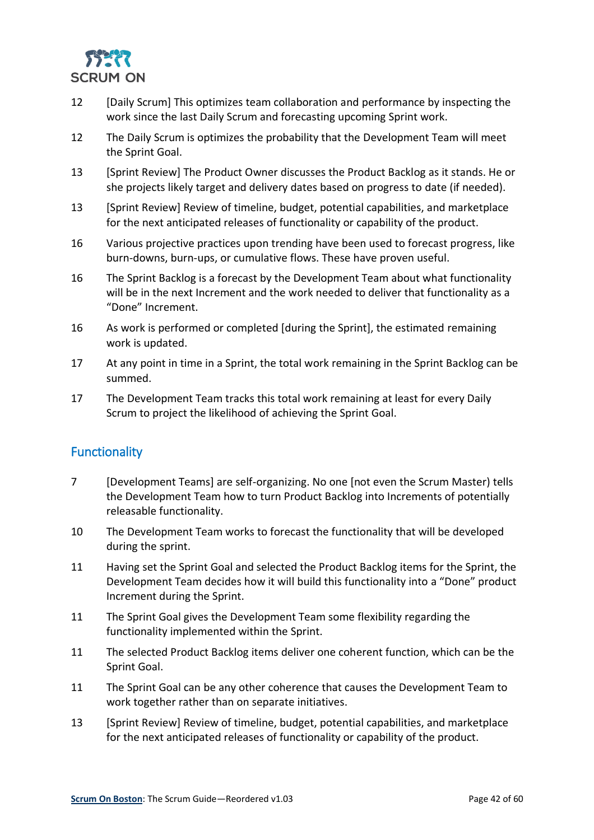

- 12 [Daily Scrum] This optimizes team collaboration and performance by inspecting the work since the last Daily Scrum and forecasting upcoming Sprint work.
- 12 The Daily Scrum is optimizes the probability that the Development Team will meet the Sprint Goal.
- 13 [Sprint Review] The Product Owner discusses the Product Backlog as it stands. He or she projects likely target and delivery dates based on progress to date (if needed).
- 13 [Sprint Review] Review of timeline, budget, potential capabilities, and marketplace for the next anticipated releases of functionality or capability of the product.
- 16 Various projective practices upon trending have been used to forecast progress, like burn-downs, burn-ups, or cumulative flows. These have proven useful.
- 16 The Sprint Backlog is a forecast by the Development Team about what functionality will be in the next Increment and the work needed to deliver that functionality as a "Done" Increment.
- 16 As work is performed or completed [during the Sprint], the estimated remaining work is updated.
- 17 At any point in time in a Sprint, the total work remaining in the Sprint Backlog can be summed.
- 17 The Development Team tracks this total work remaining at least for every Daily Scrum to project the likelihood of achieving the Sprint Goal.

#### <span id="page-41-0"></span>**Functionality**

- 7 [Development Teams] are self-organizing. No one [not even the Scrum Master) tells the Development Team how to turn Product Backlog into Increments of potentially releasable functionality.
- 10 The Development Team works to forecast the functionality that will be developed during the sprint.
- 11 Having set the Sprint Goal and selected the Product Backlog items for the Sprint, the Development Team decides how it will build this functionality into a "Done" product Increment during the Sprint.
- 11 The Sprint Goal gives the Development Team some flexibility regarding the functionality implemented within the Sprint.
- 11 The selected Product Backlog items deliver one coherent function, which can be the Sprint Goal.
- 11 The Sprint Goal can be any other coherence that causes the Development Team to work together rather than on separate initiatives.
- 13 [Sprint Review] Review of timeline, budget, potential capabilities, and marketplace for the next anticipated releases of functionality or capability of the product.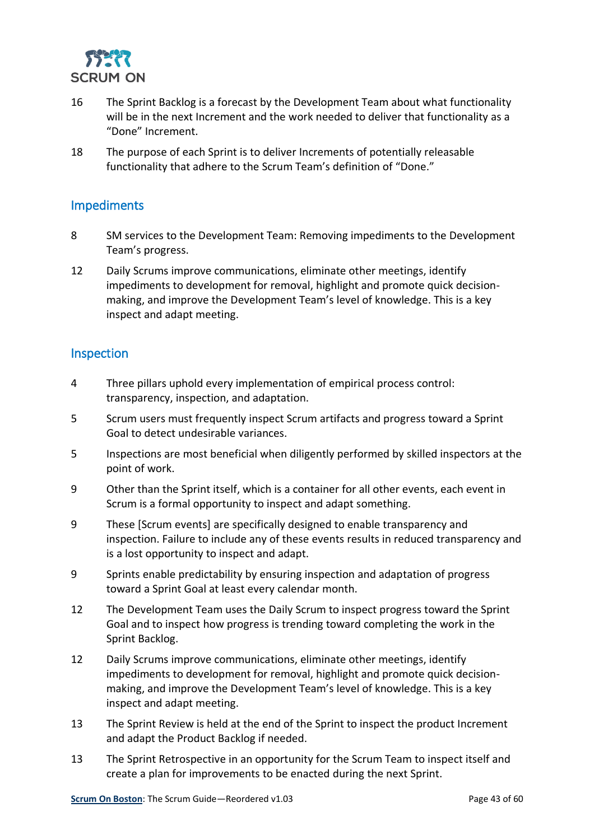

- 16 The Sprint Backlog is a forecast by the Development Team about what functionality will be in the next Increment and the work needed to deliver that functionality as a "Done" Increment.
- 18 The purpose of each Sprint is to deliver Increments of potentially releasable functionality that adhere to the Scrum Team's definition of "Done."

#### <span id="page-42-0"></span>Impediments

- 8 SM services to the Development Team: Removing impediments to the Development Team's progress.
- 12 Daily Scrums improve communications, eliminate other meetings, identify impediments to development for removal, highlight and promote quick decisionmaking, and improve the Development Team's level of knowledge. This is a key inspect and adapt meeting.

#### <span id="page-42-1"></span>Inspection

- 4 Three pillars uphold every implementation of empirical process control: transparency, inspection, and adaptation.
- 5 Scrum users must frequently inspect Scrum artifacts and progress toward a Sprint Goal to detect undesirable variances.
- 5 Inspections are most beneficial when diligently performed by skilled inspectors at the point of work.
- 9 Other than the Sprint itself, which is a container for all other events, each event in Scrum is a formal opportunity to inspect and adapt something.
- 9 These [Scrum events] are specifically designed to enable transparency and inspection. Failure to include any of these events results in reduced transparency and is a lost opportunity to inspect and adapt.
- 9 Sprints enable predictability by ensuring inspection and adaptation of progress toward a Sprint Goal at least every calendar month.
- 12 The Development Team uses the Daily Scrum to inspect progress toward the Sprint Goal and to inspect how progress is trending toward completing the work in the Sprint Backlog.
- 12 Daily Scrums improve communications, eliminate other meetings, identify impediments to development for removal, highlight and promote quick decisionmaking, and improve the Development Team's level of knowledge. This is a key inspect and adapt meeting.
- 13 The Sprint Review is held at the end of the Sprint to inspect the product Increment and adapt the Product Backlog if needed.
- 13 The Sprint Retrospective in an opportunity for the Scrum Team to inspect itself and create a plan for improvements to be enacted during the next Sprint.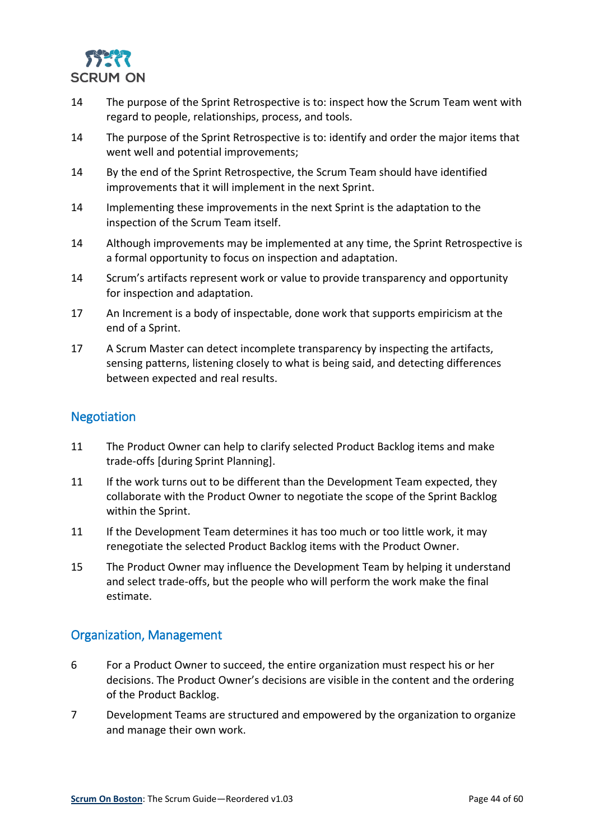

- 14 The purpose of the Sprint Retrospective is to: inspect how the Scrum Team went with regard to people, relationships, process, and tools.
- 14 The purpose of the Sprint Retrospective is to: identify and order the major items that went well and potential improvements;
- 14 By the end of the Sprint Retrospective, the Scrum Team should have identified improvements that it will implement in the next Sprint.
- 14 Implementing these improvements in the next Sprint is the adaptation to the inspection of the Scrum Team itself.
- 14 Although improvements may be implemented at any time, the Sprint Retrospective is a formal opportunity to focus on inspection and adaptation.
- 14 Scrum's artifacts represent work or value to provide transparency and opportunity for inspection and adaptation.
- 17 An Increment is a body of inspectable, done work that supports empiricism at the end of a Sprint.
- 17 A Scrum Master can detect incomplete transparency by inspecting the artifacts, sensing patterns, listening closely to what is being said, and detecting differences between expected and real results.

#### <span id="page-43-0"></span>Negotiation

- 11 The Product Owner can help to clarify selected Product Backlog items and make trade-offs [during Sprint Planning].
- 11 If the work turns out to be different than the Development Team expected, they collaborate with the Product Owner to negotiate the scope of the Sprint Backlog within the Sprint.
- 11 If the Development Team determines it has too much or too little work, it may renegotiate the selected Product Backlog items with the Product Owner.
- 15 The Product Owner may influence the Development Team by helping it understand and select trade-offs, but the people who will perform the work make the final estimate.

#### <span id="page-43-1"></span>Organization, Management

- 6 For a Product Owner to succeed, the entire organization must respect his or her decisions. The Product Owner's decisions are visible in the content and the ordering of the Product Backlog.
- 7 Development Teams are structured and empowered by the organization to organize and manage their own work.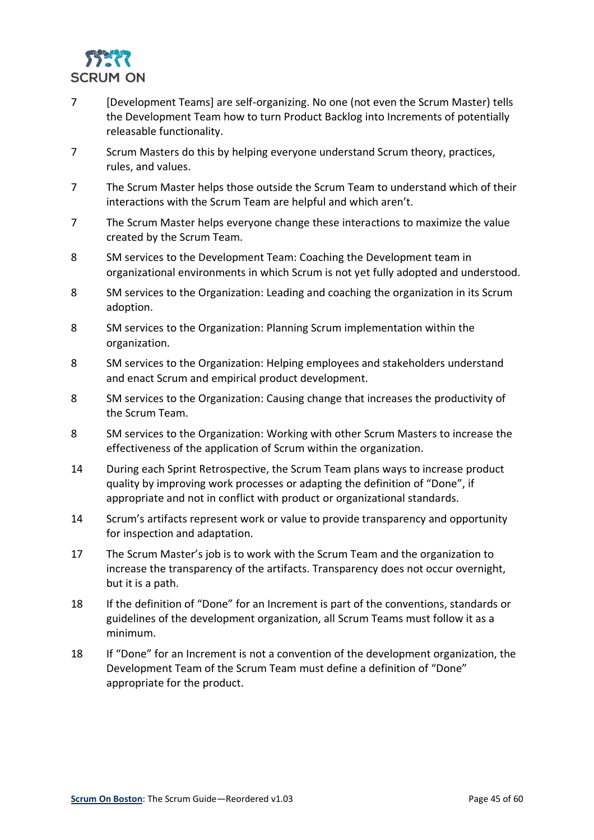

- 7 [Development Teams] are self-organizing. No one (not even the Scrum Master) tells the Development Team how to turn Product Backlog into Increments of potentially releasable functionality.
- 7 Scrum Masters do this by helping everyone understand Scrum theory, practices, rules, and values.
- 7 The Scrum Master helps those outside the Scrum Team to understand which of their interactions with the Scrum Team are helpful and which aren't.
- 7 The Scrum Master helps everyone change these interactions to maximize the value created by the Scrum Team.
- 8 SM services to the Development Team: Coaching the Development team in organizational environments in which Scrum is not yet fully adopted and understood.
- 8 SM services to the Organization: Leading and coaching the organization in its Scrum adoption.
- 8 SM services to the Organization: Planning Scrum implementation within the organization.
- 8 SM services to the Organization: Helping employees and stakeholders understand and enact Scrum and empirical product development.
- 8 SM services to the Organization: Causing change that increases the productivity of the Scrum Team.
- 8 SM services to the Organization: Working with other Scrum Masters to increase the effectiveness of the application of Scrum within the organization.
- 14 During each Sprint Retrospective, the Scrum Team plans ways to increase product quality by improving work processes or adapting the definition of "Done", if appropriate and not in conflict with product or organizational standards.
- 14 Scrum's artifacts represent work or value to provide transparency and opportunity for inspection and adaptation.
- 17 The Scrum Master's job is to work with the Scrum Team and the organization to increase the transparency of the artifacts. Transparency does not occur overnight, but it is a path.
- 18 If the definition of "Done" for an Increment is part of the conventions, standards or guidelines of the development organization, all Scrum Teams must follow it as a minimum.
- 18 If "Done" for an Increment is not a convention of the development organization, the Development Team of the Scrum Team must define a definition of "Done" appropriate for the product.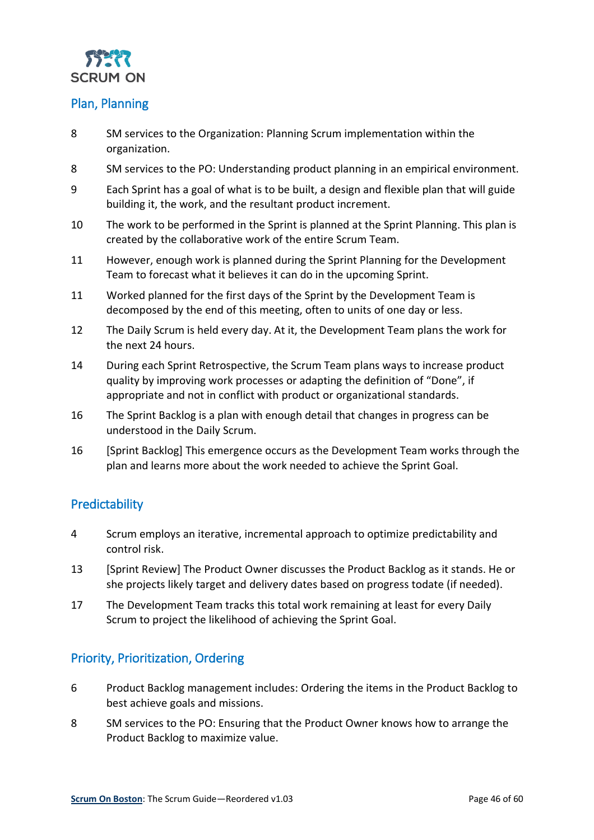

#### <span id="page-45-0"></span>Plan, Planning

- 8 SM services to the Organization: Planning Scrum implementation within the organization.
- 8 SM services to the PO: Understanding product planning in an empirical environment.
- 9 Each Sprint has a goal of what is to be built, a design and flexible plan that will guide building it, the work, and the resultant product increment.
- 10 The work to be performed in the Sprint is planned at the Sprint Planning. This plan is created by the collaborative work of the entire Scrum Team.
- 11 However, enough work is planned during the Sprint Planning for the Development Team to forecast what it believes it can do in the upcoming Sprint.
- 11 Worked planned for the first days of the Sprint by the Development Team is decomposed by the end of this meeting, often to units of one day or less.
- 12 The Daily Scrum is held every day. At it, the Development Team plans the work for the next 24 hours.
- 14 During each Sprint Retrospective, the Scrum Team plans ways to increase product quality by improving work processes or adapting the definition of "Done", if appropriate and not in conflict with product or organizational standards.
- 16 The Sprint Backlog is a plan with enough detail that changes in progress can be understood in the Daily Scrum.
- 16 [Sprint Backlog] This emergence occurs as the Development Team works through the plan and learns more about the work needed to achieve the Sprint Goal.

#### <span id="page-45-1"></span>**Predictability**

- 4 Scrum employs an iterative, incremental approach to optimize predictability and control risk.
- 13 [Sprint Review] The Product Owner discusses the Product Backlog as it stands. He or she projects likely target and delivery dates based on progress todate (if needed).
- 17 The Development Team tracks this total work remaining at least for every Daily Scrum to project the likelihood of achieving the Sprint Goal.

#### <span id="page-45-2"></span>Priority, Prioritization, Ordering

- 6 Product Backlog management includes: Ordering the items in the Product Backlog to best achieve goals and missions.
- 8 SM services to the PO: Ensuring that the Product Owner knows how to arrange the Product Backlog to maximize value.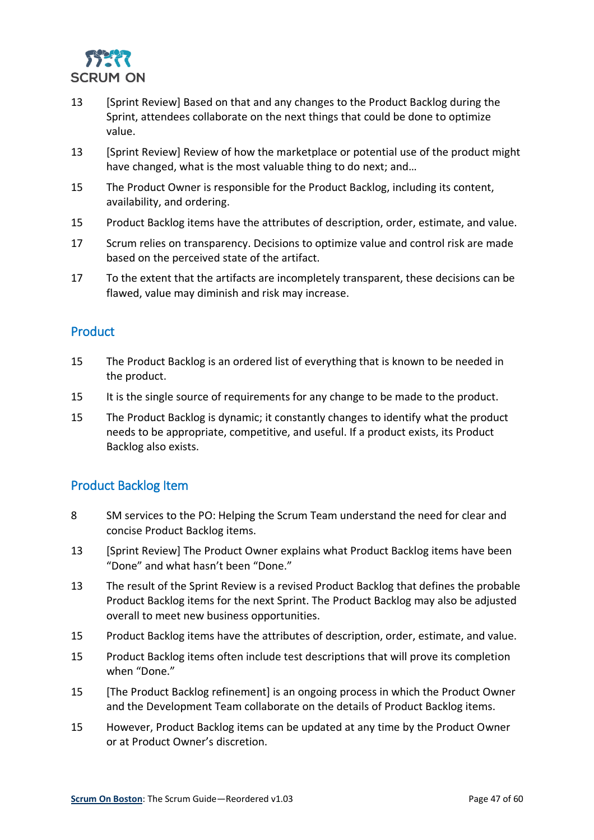

- 13 [Sprint Review] Based on that and any changes to the Product Backlog during the Sprint, attendees collaborate on the next things that could be done to optimize value.
- 13 [Sprint Review] Review of how the marketplace or potential use of the product might have changed, what is the most valuable thing to do next; and…
- 15 The Product Owner is responsible for the Product Backlog, including its content, availability, and ordering.
- 15 Product Backlog items have the attributes of description, order, estimate, and value.
- 17 Scrum relies on transparency. Decisions to optimize value and control risk are made based on the perceived state of the artifact.
- 17 To the extent that the artifacts are incompletely transparent, these decisions can be flawed, value may diminish and risk may increase.

#### <span id="page-46-0"></span>**Product**

- 15 The Product Backlog is an ordered list of everything that is known to be needed in the product.
- 15 It is the single source of requirements for any change to be made to the product.
- 15 The Product Backlog is dynamic; it constantly changes to identify what the product needs to be appropriate, competitive, and useful. If a product exists, its Product Backlog also exists.

#### <span id="page-46-1"></span>Product Backlog Item

- 8 SM services to the PO: Helping the Scrum Team understand the need for clear and concise Product Backlog items.
- 13 [Sprint Review] The Product Owner explains what Product Backlog items have been "Done" and what hasn't been "Done."
- 13 The result of the Sprint Review is a revised Product Backlog that defines the probable Product Backlog items for the next Sprint. The Product Backlog may also be adjusted overall to meet new business opportunities.
- 15 Product Backlog items have the attributes of description, order, estimate, and value.
- 15 Product Backlog items often include test descriptions that will prove its completion when "Done."
- 15 [The Product Backlog refinement] is an ongoing process in which the Product Owner and the Development Team collaborate on the details of Product Backlog items.
- 15 However, Product Backlog items can be updated at any time by the Product Owner or at Product Owner's discretion.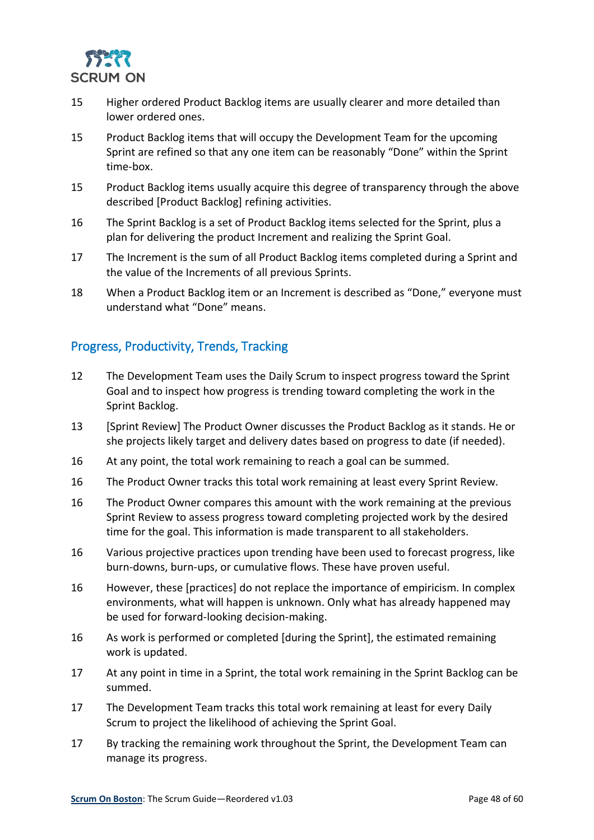

- 15 Higher ordered Product Backlog items are usually clearer and more detailed than lower ordered ones.
- 15 Product Backlog items that will occupy the Development Team for the upcoming Sprint are refined so that any one item can be reasonably "Done" within the Sprint time-box.
- 15 Product Backlog items usually acquire this degree of transparency through the above described [Product Backlog] refining activities.
- 16 The Sprint Backlog is a set of Product Backlog items selected for the Sprint, plus a plan for delivering the product Increment and realizing the Sprint Goal.
- 17 The Increment is the sum of all Product Backlog items completed during a Sprint and the value of the Increments of all previous Sprints.
- 18 When a Product Backlog item or an Increment is described as "Done," everyone must understand what "Done" means.

#### <span id="page-47-0"></span>Progress, Productivity, Trends, Tracking

- 12 The Development Team uses the Daily Scrum to inspect progress toward the Sprint Goal and to inspect how progress is trending toward completing the work in the Sprint Backlog.
- 13 [Sprint Review] The Product Owner discusses the Product Backlog as it stands. He or she projects likely target and delivery dates based on progress to date (if needed).
- 16 At any point, the total work remaining to reach a goal can be summed.
- 16 The Product Owner tracks this total work remaining at least every Sprint Review.
- 16 The Product Owner compares this amount with the work remaining at the previous Sprint Review to assess progress toward completing projected work by the desired time for the goal. This information is made transparent to all stakeholders.
- 16 Various projective practices upon trending have been used to forecast progress, like burn-downs, burn-ups, or cumulative flows. These have proven useful.
- 16 However, these [practices] do not replace the importance of empiricism. In complex environments, what will happen is unknown. Only what has already happened may be used for forward-looking decision-making.
- 16 As work is performed or completed [during the Sprint], the estimated remaining work is updated.
- 17 At any point in time in a Sprint, the total work remaining in the Sprint Backlog can be summed.
- 17 The Development Team tracks this total work remaining at least for every Daily Scrum to project the likelihood of achieving the Sprint Goal.
- 17 By tracking the remaining work throughout the Sprint, the Development Team can manage its progress.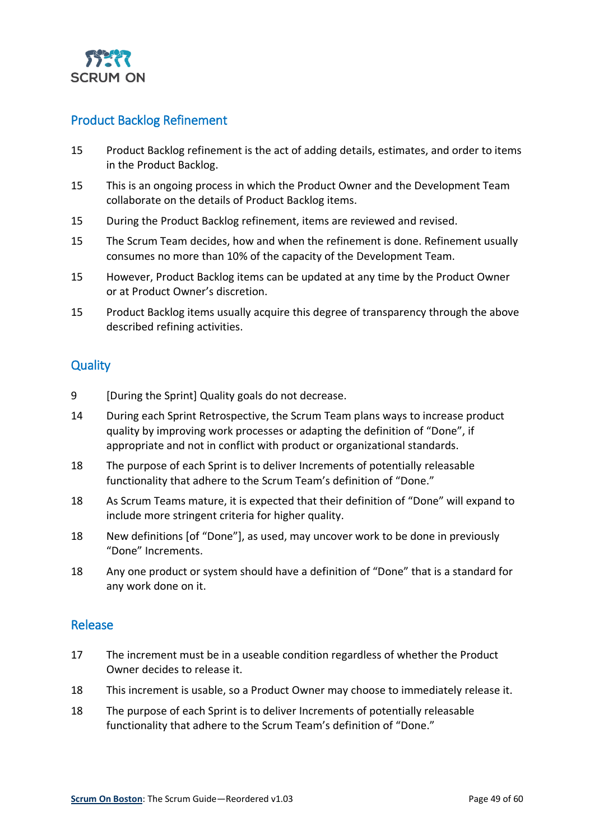

#### <span id="page-48-0"></span>Product Backlog Refinement

- 15 Product Backlog refinement is the act of adding details, estimates, and order to items in the Product Backlog.
- 15 This is an ongoing process in which the Product Owner and the Development Team collaborate on the details of Product Backlog items.
- 15 During the Product Backlog refinement, items are reviewed and revised.
- 15 The Scrum Team decides, how and when the refinement is done. Refinement usually consumes no more than 10% of the capacity of the Development Team.
- 15 However, Product Backlog items can be updated at any time by the Product Owner or at Product Owner's discretion.
- 15 Product Backlog items usually acquire this degree of transparency through the above described refining activities.

#### <span id="page-48-1"></span>**Quality**

- 9 [During the Sprint] Quality goals do not decrease.
- 14 During each Sprint Retrospective, the Scrum Team plans ways to increase product quality by improving work processes or adapting the definition of "Done", if appropriate and not in conflict with product or organizational standards.
- 18 The purpose of each Sprint is to deliver Increments of potentially releasable functionality that adhere to the Scrum Team's definition of "Done."
- 18 As Scrum Teams mature, it is expected that their definition of "Done" will expand to include more stringent criteria for higher quality.
- 18 New definitions [of "Done"], as used, may uncover work to be done in previously "Done" Increments.
- 18 Any one product or system should have a definition of "Done" that is a standard for any work done on it.

#### <span id="page-48-2"></span>Release

- 17 The increment must be in a useable condition regardless of whether the Product Owner decides to release it.
- 18 This increment is usable, so a Product Owner may choose to immediately release it.
- 18 The purpose of each Sprint is to deliver Increments of potentially releasable functionality that adhere to the Scrum Team's definition of "Done."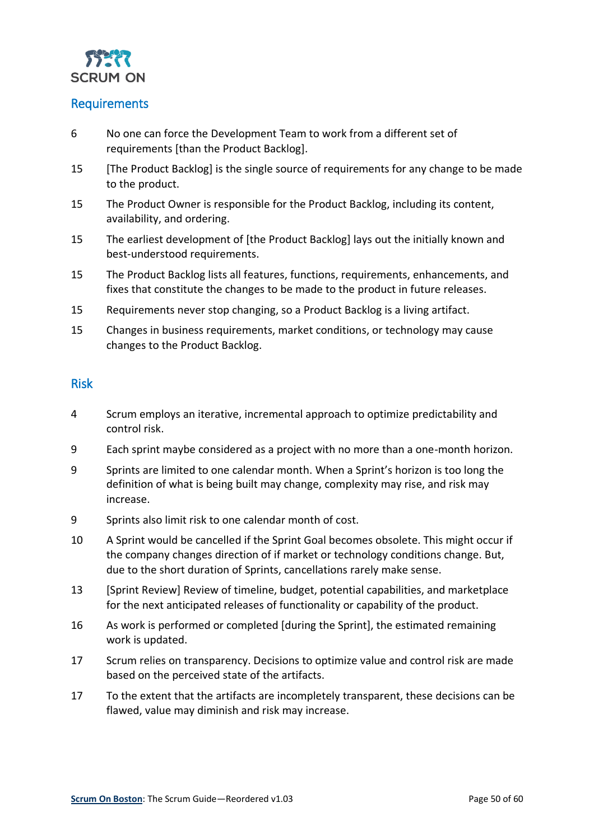

#### <span id="page-49-0"></span>Requirements

- 6 No one can force the Development Team to work from a different set of requirements [than the Product Backlog].
- 15 [The Product Backlog] is the single source of requirements for any change to be made to the product.
- 15 The Product Owner is responsible for the Product Backlog, including its content, availability, and ordering.
- 15 The earliest development of [the Product Backlog] lays out the initially known and best-understood requirements.
- 15 The Product Backlog lists all features, functions, requirements, enhancements, and fixes that constitute the changes to be made to the product in future releases.
- 15 Requirements never stop changing, so a Product Backlog is a living artifact.
- 15 Changes in business requirements, market conditions, or technology may cause changes to the Product Backlog.

#### <span id="page-49-1"></span>Risk

- 4 Scrum employs an iterative, incremental approach to optimize predictability and control risk.
- 9 Each sprint maybe considered as a project with no more than a one-month horizon.
- 9 Sprints are limited to one calendar month. When a Sprint's horizon is too long the definition of what is being built may change, complexity may rise, and risk may increase.
- 9 Sprints also limit risk to one calendar month of cost.
- 10 A Sprint would be cancelled if the Sprint Goal becomes obsolete. This might occur if the company changes direction of if market or technology conditions change. But, due to the short duration of Sprints, cancellations rarely make sense.
- 13 [Sprint Review] Review of timeline, budget, potential capabilities, and marketplace for the next anticipated releases of functionality or capability of the product.
- 16 As work is performed or completed [during the Sprint], the estimated remaining work is updated.
- 17 Scrum relies on transparency. Decisions to optimize value and control risk are made based on the perceived state of the artifacts.
- 17 To the extent that the artifacts are incompletely transparent, these decisions can be flawed, value may diminish and risk may increase.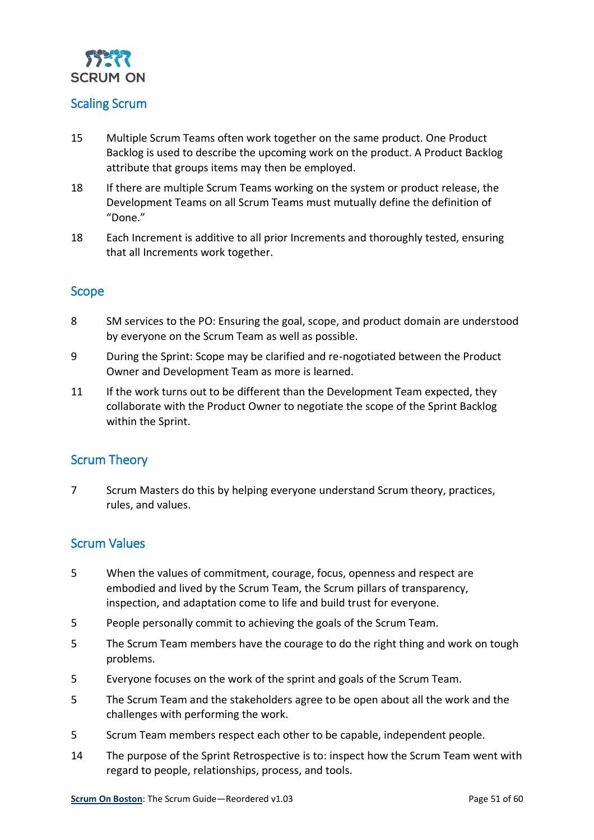

#### <span id="page-50-0"></span>Scaling Scrum

- 15 Multiple Scrum Teams often work together on the same product. One Product Backlog is used to describe the upcoming work on the product. A Product Backlog attribute that groups items may then be employed.
- 18 If there are multiple Scrum Teams working on the system or product release, the Development Teams on all Scrum Teams must mutually define the definition of "Done."
- 18 Each Increment is additive to all prior Increments and thoroughly tested, ensuring that all Increments work together.

#### <span id="page-50-1"></span>Scope

- 8 SM services to the PO: Ensuring the goal, scope, and product domain are understood by everyone on the Scrum Team as well as possible.
- 9 During the Sprint: Scope may be clarified and re-nogotiated between the Product Owner and Development Team as more is learned.
- 11 If the work turns out to be different than the Development Team expected, they collaborate with the Product Owner to negotiate the scope of the Sprint Backlog within the Sprint.

#### <span id="page-50-2"></span>Scrum Theory

7 Scrum Masters do this by helping everyone understand Scrum theory, practices, rules, and values.

#### <span id="page-50-3"></span>Scrum Values

- 5 When the values of commitment, courage, focus, openness and respect are embodied and lived by the Scrum Team, the Scrum pillars of transparency, inspection, and adaptation come to life and build trust for everyone.
- 5 People personally commit to achieving the goals of the Scrum Team.
- 5 The Scrum Team members have the courage to do the right thing and work on tough problems.
- 5 Everyone focuses on the work of the sprint and goals of the Scrum Team.
- 5 The Scrum Team and the stakeholders agree to be open about all the work and the challenges with performing the work.
- 5 Scrum Team members respect each other to be capable, independent people.
- 14 The purpose of the Sprint Retrospective is to: inspect how the Scrum Team went with regard to people, relationships, process, and tools.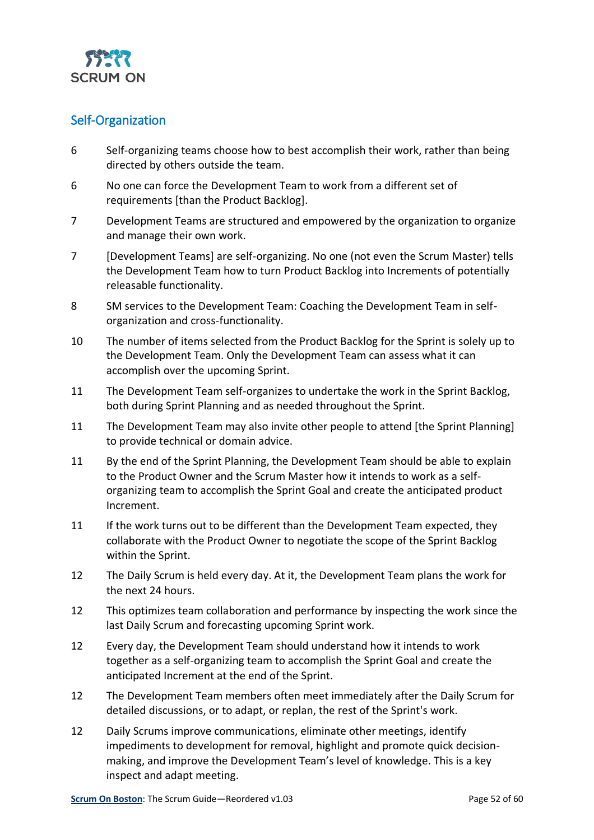

#### <span id="page-51-0"></span>Self-Organization

- 6 Self-organizing teams choose how to best accomplish their work, rather than being directed by others outside the team.
- 6 No one can force the Development Team to work from a different set of requirements [than the Product Backlog].
- 7 Development Teams are structured and empowered by the organization to organize and manage their own work.
- 7 [Development Teams] are self-organizing. No one (not even the Scrum Master) tells the Development Team how to turn Product Backlog into Increments of potentially releasable functionality.
- 8 SM services to the Development Team: Coaching the Development Team in selforganization and cross-functionality.
- 10 The number of items selected from the Product Backlog for the Sprint is solely up to the Development Team. Only the Development Team can assess what it can accomplish over the upcoming Sprint.
- 11 The Development Team self-organizes to undertake the work in the Sprint Backlog, both during Sprint Planning and as needed throughout the Sprint.
- 11 The Development Team may also invite other people to attend [the Sprint Planning] to provide technical or domain advice.
- 11 By the end of the Sprint Planning, the Development Team should be able to explain to the Product Owner and the Scrum Master how it intends to work as a selforganizing team to accomplish the Sprint Goal and create the anticipated product Increment.
- 11 If the work turns out to be different than the Development Team expected, they collaborate with the Product Owner to negotiate the scope of the Sprint Backlog within the Sprint.
- 12 The Daily Scrum is held every day. At it, the Development Team plans the work for the next 24 hours.
- 12 This optimizes team collaboration and performance by inspecting the work since the last Daily Scrum and forecasting upcoming Sprint work.
- 12 Every day, the Development Team should understand how it intends to work together as a self-organizing team to accomplish the Sprint Goal and create the anticipated Increment at the end of the Sprint.
- 12 The Development Team members often meet immediately after the Daily Scrum for detailed discussions, or to adapt, or replan, the rest of the Sprint's work.
- 12 Daily Scrums improve communications, eliminate other meetings, identify impediments to development for removal, highlight and promote quick decisionmaking, and improve the Development Team's level of knowledge. This is a key inspect and adapt meeting.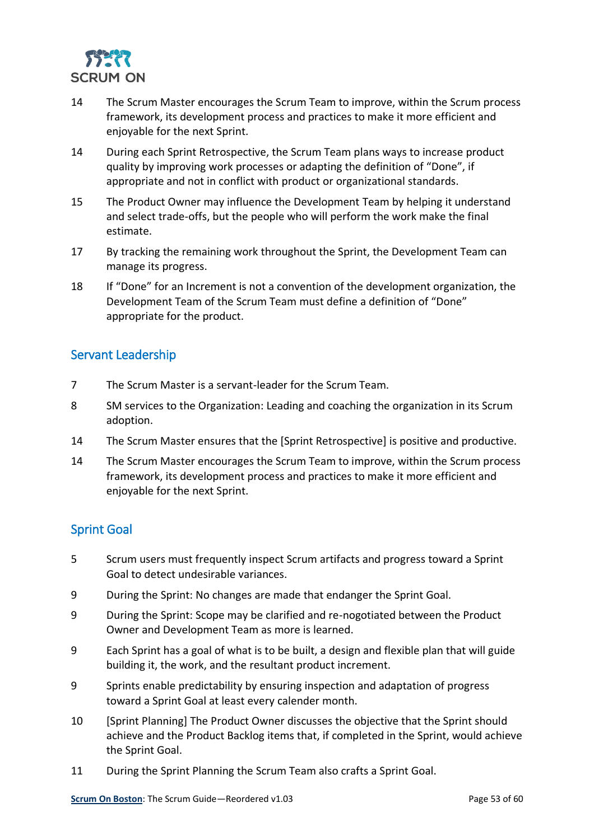

- 14 The Scrum Master encourages the Scrum Team to improve, within the Scrum process framework, its development process and practices to make it more efficient and enjoyable for the next Sprint.
- 14 During each Sprint Retrospective, the Scrum Team plans ways to increase product quality by improving work processes or adapting the definition of "Done", if appropriate and not in conflict with product or organizational standards.
- 15 The Product Owner may influence the Development Team by helping it understand and select trade-offs, but the people who will perform the work make the final estimate.
- 17 By tracking the remaining work throughout the Sprint, the Development Team can manage its progress.
- 18 If "Done" for an Increment is not a convention of the development organization, the Development Team of the Scrum Team must define a definition of "Done" appropriate for the product.

#### <span id="page-52-0"></span>Servant Leadership

- 7 The Scrum Master is a servant-leader for the Scrum Team.
- 8 SM services to the Organization: Leading and coaching the organization in its Scrum adoption.
- 14 The Scrum Master ensures that the [Sprint Retrospective] is positive and productive.
- 14 The Scrum Master encourages the Scrum Team to improve, within the Scrum process framework, its development process and practices to make it more efficient and enjoyable for the next Sprint.

### <span id="page-52-1"></span>Sprint Goal

- 5 Scrum users must frequently inspect Scrum artifacts and progress toward a Sprint Goal to detect undesirable variances.
- 9 During the Sprint: No changes are made that endanger the Sprint Goal.
- 9 During the Sprint: Scope may be clarified and re-nogotiated between the Product Owner and Development Team as more is learned.
- 9 Each Sprint has a goal of what is to be built, a design and flexible plan that will guide building it, the work, and the resultant product increment.
- 9 Sprints enable predictability by ensuring inspection and adaptation of progress toward a Sprint Goal at least every calender month.
- 10 [Sprint Planning] The Product Owner discusses the objective that the Sprint should achieve and the Product Backlog items that, if completed in the Sprint, would achieve the Sprint Goal.
- 11 During the Sprint Planning the Scrum Team also crafts a Sprint Goal.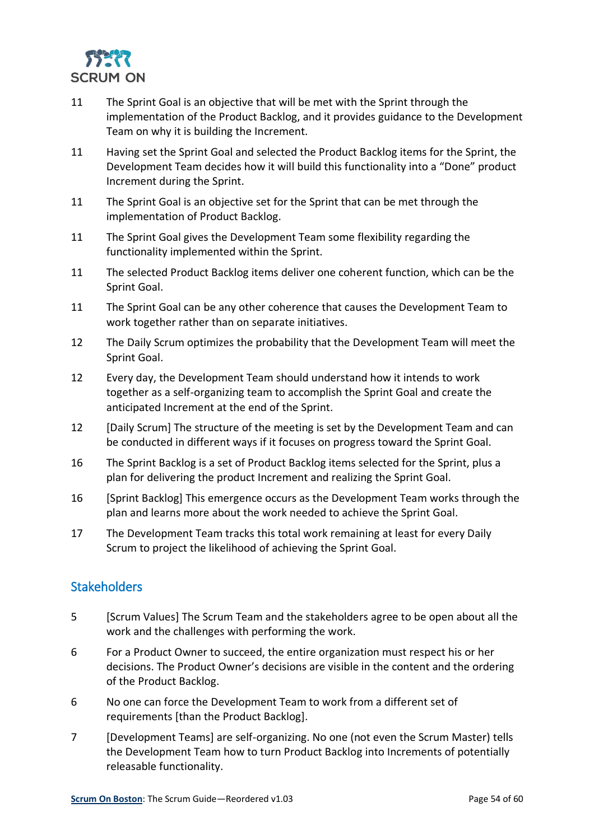

- 11 The Sprint Goal is an objective that will be met with the Sprint through the implementation of the Product Backlog, and it provides guidance to the Development Team on why it is building the Increment.
- 11 Having set the Sprint Goal and selected the Product Backlog items for the Sprint, the Development Team decides how it will build this functionality into a "Done" product Increment during the Sprint.
- 11 The Sprint Goal is an objective set for the Sprint that can be met through the implementation of Product Backlog.
- 11 The Sprint Goal gives the Development Team some flexibility regarding the functionality implemented within the Sprint.
- 11 The selected Product Backlog items deliver one coherent function, which can be the Sprint Goal.
- 11 The Sprint Goal can be any other coherence that causes the Development Team to work together rather than on separate initiatives.
- 12 The Daily Scrum optimizes the probability that the Development Team will meet the Sprint Goal.
- 12 Every day, the Development Team should understand how it intends to work together as a self-organizing team to accomplish the Sprint Goal and create the anticipated Increment at the end of the Sprint.
- 12 [Daily Scrum] The structure of the meeting is set by the Development Team and can be conducted in different ways if it focuses on progress toward the Sprint Goal.
- 16 The Sprint Backlog is a set of Product Backlog items selected for the Sprint, plus a plan for delivering the product Increment and realizing the Sprint Goal.
- 16 [Sprint Backlog] This emergence occurs as the Development Team works through the plan and learns more about the work needed to achieve the Sprint Goal.
- 17 The Development Team tracks this total work remaining at least for every Daily Scrum to project the likelihood of achieving the Sprint Goal.

#### <span id="page-53-0"></span>**Stakeholders**

- 5 [Scrum Values] The Scrum Team and the stakeholders agree to be open about all the work and the challenges with performing the work.
- 6 For a Product Owner to succeed, the entire organization must respect his or her decisions. The Product Owner's decisions are visible in the content and the ordering of the Product Backlog.
- 6 No one can force the Development Team to work from a different set of requirements [than the Product Backlog].
- 7 [Development Teams] are self-organizing. No one (not even the Scrum Master) tells the Development Team how to turn Product Backlog into Increments of potentially releasable functionality.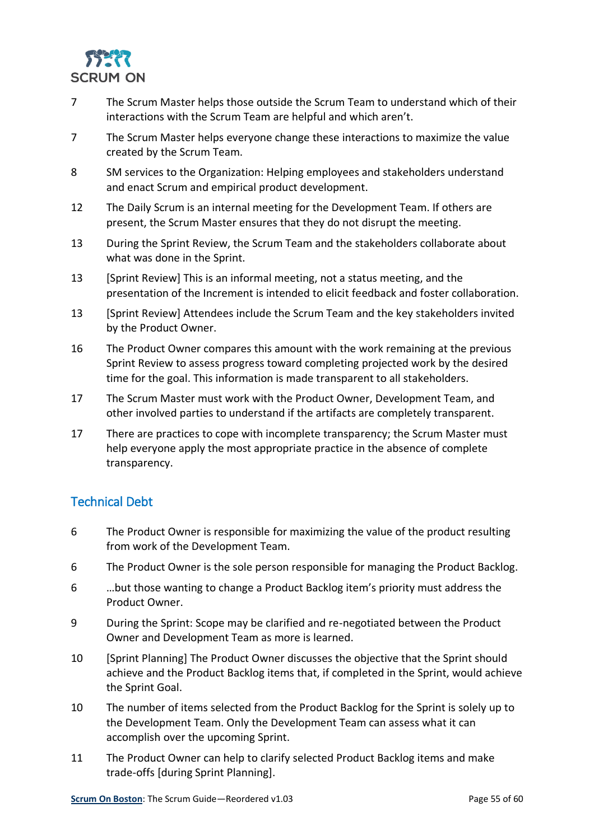

- 7 The Scrum Master helps those outside the Scrum Team to understand which of their interactions with the Scrum Team are helpful and which aren't.
- 7 The Scrum Master helps everyone change these interactions to maximize the value created by the Scrum Team.
- 8 SM services to the Organization: Helping employees and stakeholders understand and enact Scrum and empirical product development.
- 12 The Daily Scrum is an internal meeting for the Development Team. If others are present, the Scrum Master ensures that they do not disrupt the meeting.
- 13 During the Sprint Review, the Scrum Team and the stakeholders collaborate about what was done in the Sprint.
- 13 [Sprint Review] This is an informal meeting, not a status meeting, and the presentation of the Increment is intended to elicit feedback and foster collaboration.
- 13 [Sprint Review] Attendees include the Scrum Team and the key stakeholders invited by the Product Owner.
- 16 The Product Owner compares this amount with the work remaining at the previous Sprint Review to assess progress toward completing projected work by the desired time for the goal. This information is made transparent to all stakeholders.
- 17 The Scrum Master must work with the Product Owner, Development Team, and other involved parties to understand if the artifacts are completely transparent.
- 17 There are practices to cope with incomplete transparency; the Scrum Master must help everyone apply the most appropriate practice in the absence of complete transparency.

#### <span id="page-54-0"></span>Technical Debt

- 6 The Product Owner is responsible for maximizing the value of the product resulting from work of the Development Team.
- 6 The Product Owner is the sole person responsible for managing the Product Backlog.
- 6 …but those wanting to change a Product Backlog item's priority must address the Product Owner.
- 9 During the Sprint: Scope may be clarified and re-negotiated between the Product Owner and Development Team as more is learned.
- 10 [Sprint Planning] The Product Owner discusses the objective that the Sprint should achieve and the Product Backlog items that, if completed in the Sprint, would achieve the Sprint Goal.
- 10 The number of items selected from the Product Backlog for the Sprint is solely up to the Development Team. Only the Development Team can assess what it can accomplish over the upcoming Sprint.
- 11 The Product Owner can help to clarify selected Product Backlog items and make trade-offs [during Sprint Planning].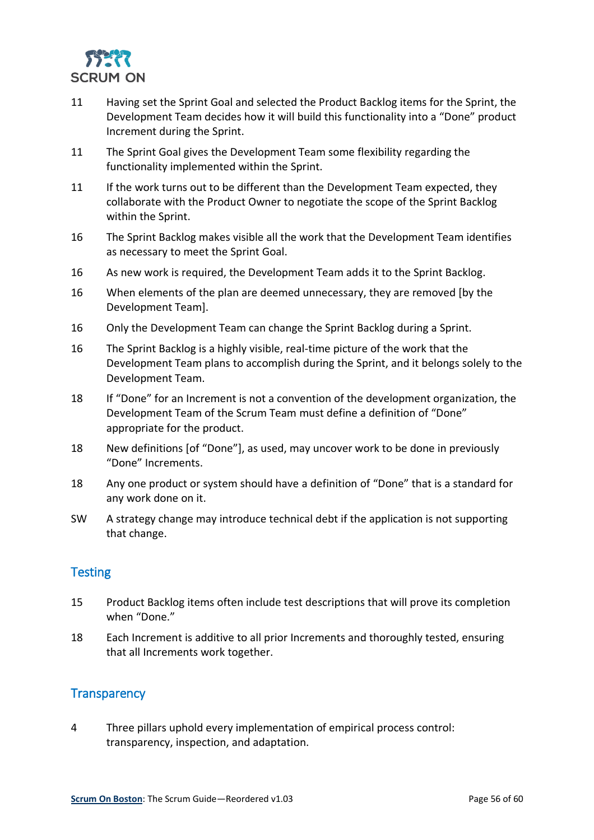

- 11 Having set the Sprint Goal and selected the Product Backlog items for the Sprint, the Development Team decides how it will build this functionality into a "Done" product Increment during the Sprint.
- 11 The Sprint Goal gives the Development Team some flexibility regarding the functionality implemented within the Sprint.
- 11 If the work turns out to be different than the Development Team expected, they collaborate with the Product Owner to negotiate the scope of the Sprint Backlog within the Sprint.
- 16 The Sprint Backlog makes visible all the work that the Development Team identifies as necessary to meet the Sprint Goal.
- 16 As new work is required, the Development Team adds it to the Sprint Backlog.
- 16 When elements of the plan are deemed unnecessary, they are removed [by the Development Team].
- 16 Only the Development Team can change the Sprint Backlog during a Sprint.
- 16 The Sprint Backlog is a highly visible, real-time picture of the work that the Development Team plans to accomplish during the Sprint, and it belongs solely to the Development Team.
- 18 If "Done" for an Increment is not a convention of the development organization, the Development Team of the Scrum Team must define a definition of "Done" appropriate for the product.
- 18 New definitions [of "Done"], as used, may uncover work to be done in previously "Done" Increments.
- 18 Any one product or system should have a definition of "Done" that is a standard for any work done on it.
- SW A strategy change may introduce technical debt if the application is not supporting that change.

#### <span id="page-55-0"></span>**Testing**

- 15 Product Backlog items often include test descriptions that will prove its completion when "Done."
- 18 Each Increment is additive to all prior Increments and thoroughly tested, ensuring that all Increments work together.

#### <span id="page-55-1"></span>**Transparency**

4 Three pillars uphold every implementation of empirical process control: transparency, inspection, and adaptation.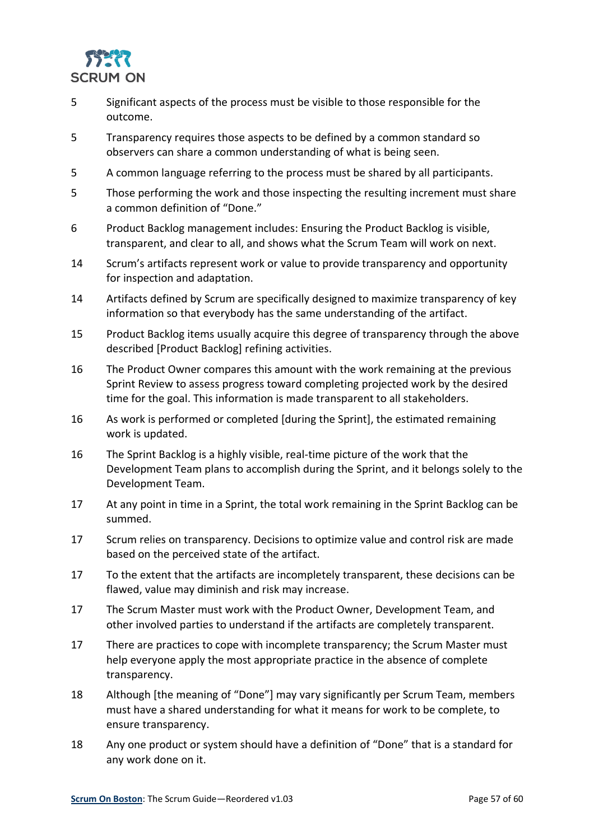

- 5 Significant aspects of the process must be visible to those responsible for the outcome.
- 5 Transparency requires those aspects to be defined by a common standard so observers can share a common understanding of what is being seen.
- 5 A common language referring to the process must be shared by all participants.
- 5 Those performing the work and those inspecting the resulting increment must share a common definition of "Done."
- 6 Product Backlog management includes: Ensuring the Product Backlog is visible, transparent, and clear to all, and shows what the Scrum Team will work on next.
- 14 Scrum's artifacts represent work or value to provide transparency and opportunity for inspection and adaptation.
- 14 Artifacts defined by Scrum are specifically designed to maximize transparency of key information so that everybody has the same understanding of the artifact.
- 15 Product Backlog items usually acquire this degree of transparency through the above described [Product Backlog] refining activities.
- 16 The Product Owner compares this amount with the work remaining at the previous Sprint Review to assess progress toward completing projected work by the desired time for the goal. This information is made transparent to all stakeholders.
- 16 As work is performed or completed [during the Sprint], the estimated remaining work is updated.
- 16 The Sprint Backlog is a highly visible, real-time picture of the work that the Development Team plans to accomplish during the Sprint, and it belongs solely to the Development Team.
- 17 At any point in time in a Sprint, the total work remaining in the Sprint Backlog can be summed.
- 17 Scrum relies on transparency. Decisions to optimize value and control risk are made based on the perceived state of the artifact.
- 17 To the extent that the artifacts are incompletely transparent, these decisions can be flawed, value may diminish and risk may increase.
- 17 The Scrum Master must work with the Product Owner, Development Team, and other involved parties to understand if the artifacts are completely transparent.
- 17 There are practices to cope with incomplete transparency; the Scrum Master must help everyone apply the most appropriate practice in the absence of complete transparency.
- 18 Although [the meaning of "Done"] may vary significantly per Scrum Team, members must have a shared understanding for what it means for work to be complete, to ensure transparency.
- 18 Any one product or system should have a definition of "Done" that is a standard for any work done on it.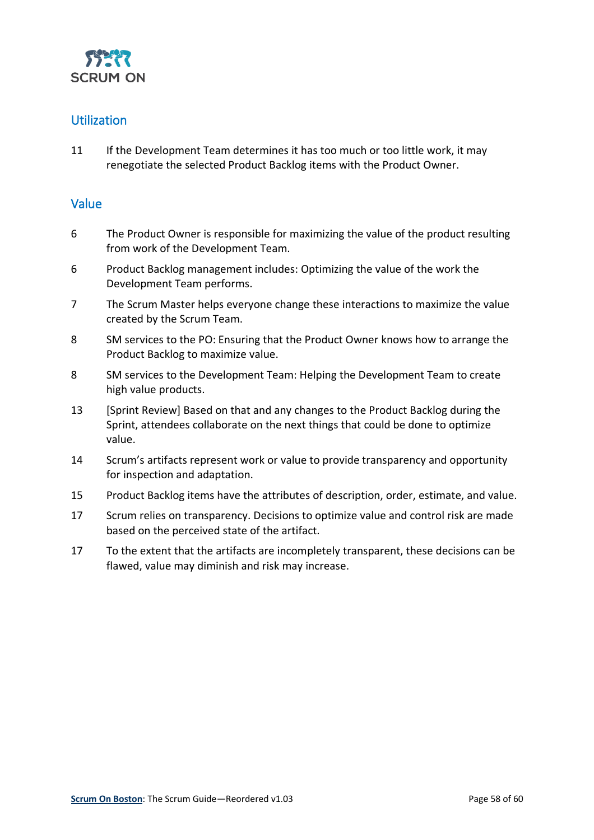

#### <span id="page-57-0"></span>Utilization

11 If the Development Team determines it has too much or too little work, it may renegotiate the selected Product Backlog items with the Product Owner.

#### <span id="page-57-1"></span>Value

- 6 The Product Owner is responsible for maximizing the value of the product resulting from work of the Development Team.
- 6 Product Backlog management includes: Optimizing the value of the work the Development Team performs.
- 7 The Scrum Master helps everyone change these interactions to maximize the value created by the Scrum Team.
- 8 SM services to the PO: Ensuring that the Product Owner knows how to arrange the Product Backlog to maximize value.
- 8 SM services to the Development Team: Helping the Development Team to create high value products.
- 13 [Sprint Review] Based on that and any changes to the Product Backlog during the Sprint, attendees collaborate on the next things that could be done to optimize value.
- 14 Scrum's artifacts represent work or value to provide transparency and opportunity for inspection and adaptation.
- 15 Product Backlog items have the attributes of description, order, estimate, and value.
- 17 Scrum relies on transparency. Decisions to optimize value and control risk are made based on the perceived state of the artifact.
- 17 To the extent that the artifacts are incompletely transparent, these decisions can be flawed, value may diminish and risk may increase.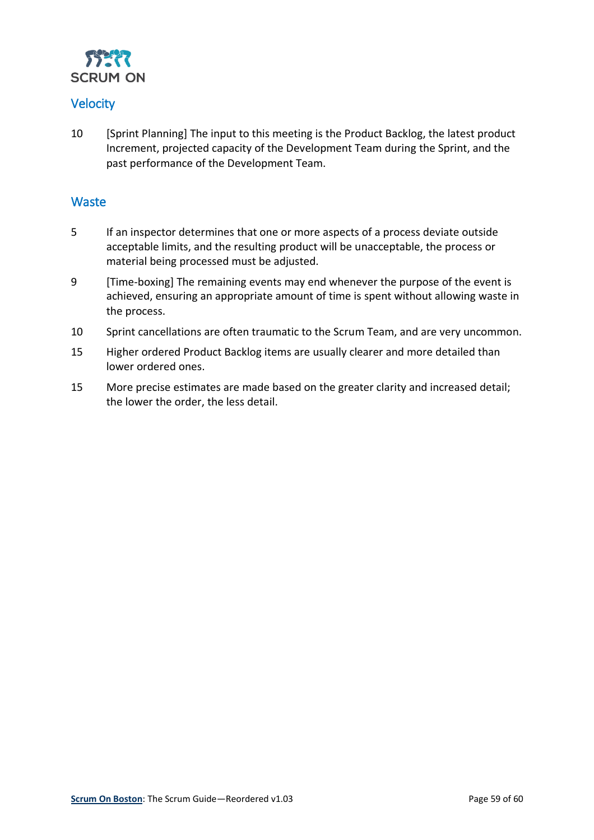

#### <span id="page-58-0"></span>**Velocity**

10 [Sprint Planning] The input to this meeting is the Product Backlog, the latest product Increment, projected capacity of the Development Team during the Sprint, and the past performance of the Development Team.

#### <span id="page-58-1"></span>**Waste**

- 5 If an inspector determines that one or more aspects of a process deviate outside acceptable limits, and the resulting product will be unacceptable, the process or material being processed must be adjusted.
- 9 [Time-boxing] The remaining events may end whenever the purpose of the event is achieved, ensuring an appropriate amount of time is spent without allowing waste in the process.
- 10 Sprint cancellations are often traumatic to the Scrum Team, and are very uncommon.
- 15 Higher ordered Product Backlog items are usually clearer and more detailed than lower ordered ones.
- 15 More precise estimates are made based on the greater clarity and increased detail; the lower the order, the less detail.